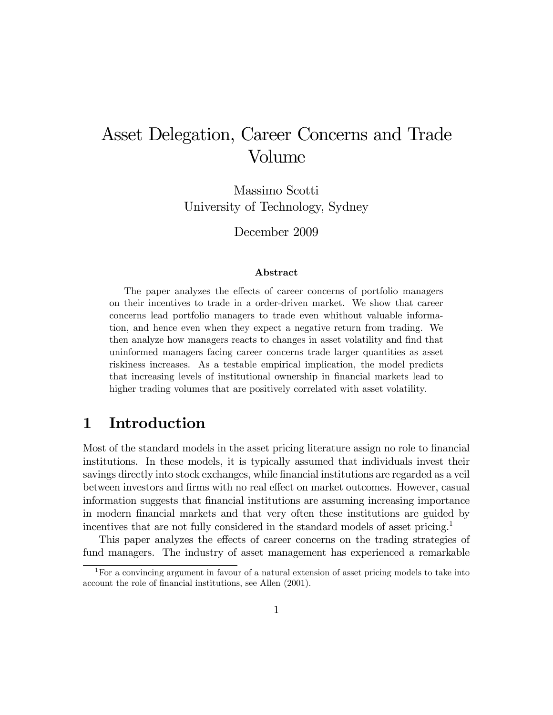# Asset Delegation, Career Concerns and Trade Volume

Massimo Scotti University of Technology, Sydney

December 2009

#### Abstract

The paper analyzes the effects of career concerns of portfolio managers on their incentives to trade in a order-driven market. We show that career concerns lead portfolio managers to trade even whithout valuable information, and hence even when they expect a negative return from trading. We then analyze how managers reacts to changes in asset volatility and find that uninformed managers facing career concerns trade larger quantities as asset riskiness increases. As a testable empirical implication, the model predicts that increasing levels of institutional ownership in financial markets lead to higher trading volumes that are positively correlated with asset volatility.

# 1 Introduction

Most of the standard models in the asset pricing literature assign no role to financial institutions. In these models, it is typically assumed that individuals invest their savings directly into stock exchanges, while financial institutions are regarded as a veil between investors and firms with no real effect on market outcomes. However, casual information suggests that Önancial institutions are assuming increasing importance in modern Önancial markets and that very often these institutions are guided by incentives that are not fully considered in the standard models of asset pricing.<sup>1</sup>

This paper analyzes the effects of career concerns on the trading strategies of fund managers. The industry of asset management has experienced a remarkable

<sup>&</sup>lt;sup>1</sup>For a convincing argument in favour of a natural extension of asset pricing models to take into account the role of financial institutions, see Allen (2001).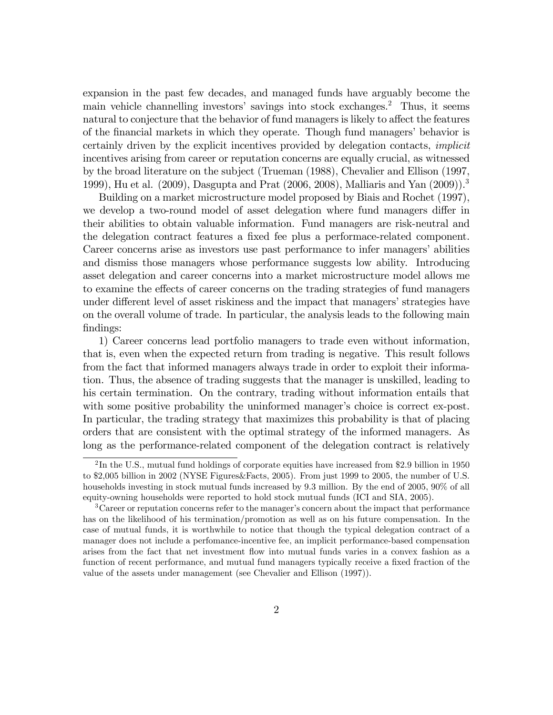expansion in the past few decades, and managed funds have arguably become the main vehicle channelling investors' savings into stock exchanges.<sup>2</sup> Thus, it seems natural to conjecture that the behavior of fund managers is likely to affect the features of the financial markets in which they operate. Though fund managers' behavior is certainly driven by the explicit incentives provided by delegation contacts, implicit incentives arising from career or reputation concerns are equally crucial, as witnessed by the broad literature on the subject (Trueman (1988), Chevalier and Ellison (1997, 1999), Hu et al. (2009), Dasgupta and Prat (2006, 2008), Malliaris and Yan (2009)).<sup>3</sup>

Building on a market microstructure model proposed by Biais and Rochet (1997), we develop a two-round model of asset delegation where fund managers differ in their abilities to obtain valuable information. Fund managers are risk-neutral and the delegation contract features a Öxed fee plus a performace-related component. Career concerns arise as investors use past performance to infer managers' abilities and dismiss those managers whose performance suggests low ability. Introducing asset delegation and career concerns into a market microstructure model allows me to examine the effects of career concerns on the trading strategies of fund managers under different level of asset riskiness and the impact that managers' strategies have on the overall volume of trade. In particular, the analysis leads to the following main findings:

1) Career concerns lead portfolio managers to trade even without information, that is, even when the expected return from trading is negative. This result follows from the fact that informed managers always trade in order to exploit their information. Thus, the absence of trading suggests that the manager is unskilled, leading to his certain termination. On the contrary, trading without information entails that with some positive probability the uninformed manager's choice is correct ex-post. In particular, the trading strategy that maximizes this probability is that of placing orders that are consistent with the optimal strategy of the informed managers. As long as the performance-related component of the delegation contract is relatively

<sup>&</sup>lt;sup>2</sup>In the U.S., mutual fund holdings of corporate equities have increased from \$2.9 billion in 1950 to \$2,005 billion in 2002 (NYSE Figures&Facts, 2005). From just 1999 to 2005, the number of U.S. households investing in stock mutual funds increased by 9.3 million. By the end of 2005, 90% of all equity-owning households were reported to hold stock mutual funds (ICI and SIA, 2005).

 ${}^{3}$ Career or reputation concerns refer to the manager's concern about the impact that performance has on the likelihood of his termination/promotion as well as on his future compensation. In the case of mutual funds, it is worthwhile to notice that though the typical delegation contract of a manager does not include a perfomance-incentive fee, an implicit performance-based compensation arises from the fact that net investment áow into mutual funds varies in a convex fashion as a function of recent performance, and mutual fund managers typically receive a fixed fraction of the value of the assets under management (see Chevalier and Ellison (1997)).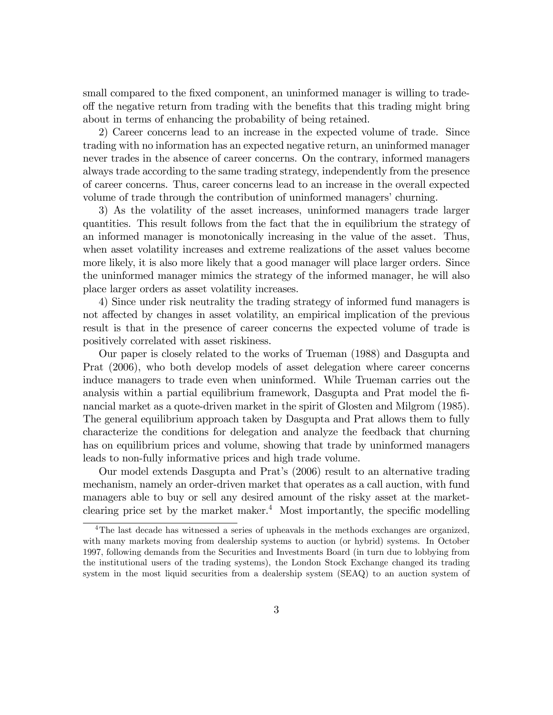small compared to the fixed component, an uninformed manager is willing to tradeoff the negative return from trading with the benefits that this trading might bring about in terms of enhancing the probability of being retained.

2) Career concerns lead to an increase in the expected volume of trade. Since trading with no information has an expected negative return, an uninformed manager never trades in the absence of career concerns. On the contrary, informed managers always trade according to the same trading strategy, independently from the presence of career concerns. Thus, career concerns lead to an increase in the overall expected volume of trade through the contribution of uninformed managers' churning.

3) As the volatility of the asset increases, uninformed managers trade larger quantities. This result follows from the fact that the in equilibrium the strategy of an informed manager is monotonically increasing in the value of the asset. Thus, when asset volatility increases and extreme realizations of the asset values become more likely, it is also more likely that a good manager will place larger orders. Since the uninformed manager mimics the strategy of the informed manager, he will also place larger orders as asset volatility increases.

4) Since under risk neutrality the trading strategy of informed fund managers is not affected by changes in asset volatility, an empirical implication of the previous result is that in the presence of career concerns the expected volume of trade is positively correlated with asset riskiness.

Our paper is closely related to the works of Trueman (1988) and Dasgupta and Prat (2006), who both develop models of asset delegation where career concerns induce managers to trade even when uninformed. While Trueman carries out the analysis within a partial equilibrium framework, Dasgupta and Prat model the Önancial market as a quote-driven market in the spirit of Glosten and Milgrom (1985). The general equilibrium approach taken by Dasgupta and Prat allows them to fully characterize the conditions for delegation and analyze the feedback that churning has on equilibrium prices and volume, showing that trade by uninformed managers leads to non-fully informative prices and high trade volume.

Our model extends Dasgupta and Pratís (2006) result to an alternative trading mechanism, namely an order-driven market that operates as a call auction, with fund managers able to buy or sell any desired amount of the risky asset at the marketclearing price set by the market maker. $4$  Most importantly, the specific modelling

<sup>&</sup>lt;sup>4</sup>The last decade has witnessed a series of upheavals in the methods exchanges are organized, with many markets moving from dealership systems to auction (or hybrid) systems. In October 1997, following demands from the Securities and Investments Board (in turn due to lobbying from the institutional users of the trading systems), the London Stock Exchange changed its trading system in the most liquid securities from a dealership system (SEAQ) to an auction system of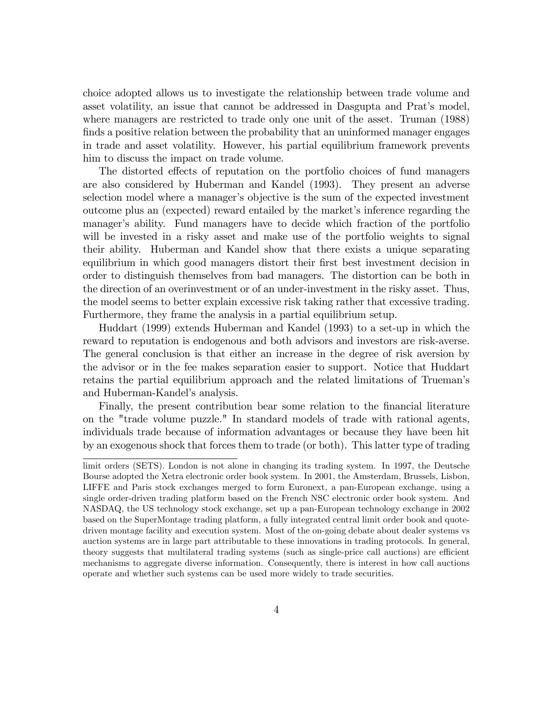choice adopted allows us to investigate the relationship between trade volume and asset volatility, an issue that cannot be addressed in Dasgupta and Prat's model, where managers are restricted to trade only one unit of the asset. Truman (1988) finds a positive relation between the probability that an uninformed manager engages in trade and asset volatility. However, his partial equilibrium framework prevents him to discuss the impact on trade volume.

The distorted effects of reputation on the portfolio choices of fund managers are also considered by Huberman and Kandel (1993). They present an adverse selection model where a manager's objective is the sum of the expected investment outcome plus an (expected) reward entailed by the market's inference regarding the manager's ability. Fund managers have to decide which fraction of the portfolio will be invested in a risky asset and make use of the portfolio weights to signal their ability. Huberman and Kandel show that there exists a unique separating equilibrium in which good managers distort their first best investment decision in order to distinguish themselves from bad managers. The distortion can be both in the direction of an overinvestment or of an under-investment in the risky asset. Thus, the model seems to better explain excessive risk taking rather that excessive trading. Furthermore, they frame the analysis in a partial equilibrium setup.

Huddart (1999) extends Huberman and Kandel (1993) to a set-up in which the reward to reputation is endogenous and both advisors and investors are risk-averse. The general conclusion is that either an increase in the degree of risk aversion by the advisor or in the fee makes separation easier to support. Notice that Huddart retains the partial equilibrium approach and the related limitations of Truemanís and Huberman-Kandel's analysis.

Finally, the present contribution bear some relation to the financial literature on the "trade volume puzzle." In standard models of trade with rational agents, individuals trade because of information advantages or because they have been hit by an exogenous shock that forces them to trade (or both). This latter type of trading

limit orders (SETS). London is not alone in changing its trading system. In 1997, the Deutsche Bourse adopted the Xetra electronic order book system. In 2001, the Amsterdam, Brussels, Lisbon, LIFFE and Paris stock exchanges merged to form Euronext, a pan-European exchange, using a single order-driven trading platform based on the French NSC electronic order book system. And NASDAQ, the US technology stock exchange, set up a pan-European technology exchange in 2002 based on the SuperMontage trading platform, a fully integrated central limit order book and quotedriven montage facility and execution system. Most of the on-going debate about dealer systems vs auction systems are in large part attributable to these innovations in trading protocols. In general, theory suggests that multilateral trading systems (such as single-price call auctions) are efficient mechanisms to aggregate diverse information. Consequently, there is interest in how call auctions operate and whether such systems can be used more widely to trade securities.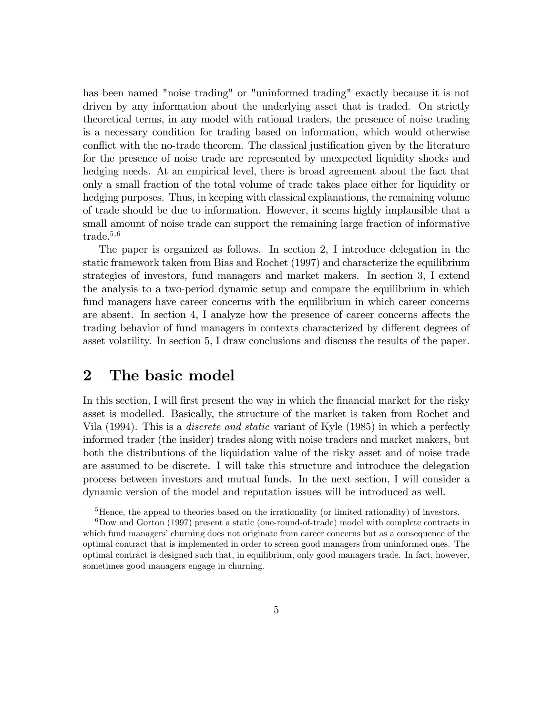has been named "noise trading" or "uninformed trading" exactly because it is not driven by any information about the underlying asset that is traded. On strictly theoretical terms, in any model with rational traders, the presence of noise trading is a necessary condition for trading based on information, which would otherwise conflict with the no-trade theorem. The classical justification given by the literature for the presence of noise trade are represented by unexpected liquidity shocks and hedging needs. At an empirical level, there is broad agreement about the fact that only a small fraction of the total volume of trade takes place either for liquidity or hedging purposes. Thus, in keeping with classical explanations, the remaining volume of trade should be due to information. However, it seems highly implausible that a small amount of noise trade can support the remaining large fraction of informative trade. $5,6$ 

The paper is organized as follows. In section 2, I introduce delegation in the static framework taken from Bias and Rochet (1997) and characterize the equilibrium strategies of investors, fund managers and market makers. In section 3, I extend the analysis to a two-period dynamic setup and compare the equilibrium in which fund managers have career concerns with the equilibrium in which career concerns are absent. In section 4, I analyze how the presence of career concerns affects the trading behavior of fund managers in contexts characterized by different degrees of asset volatility. In section 5, I draw conclusions and discuss the results of the paper.

### 2 The basic model

In this section, I will first present the way in which the financial market for the risky asset is modelled. Basically, the structure of the market is taken from Rochet and Vila (1994). This is a discrete and static variant of Kyle (1985) in which a perfectly informed trader (the insider) trades along with noise traders and market makers, but both the distributions of the liquidation value of the risky asset and of noise trade are assumed to be discrete. I will take this structure and introduce the delegation process between investors and mutual funds. In the next section, I will consider a dynamic version of the model and reputation issues will be introduced as well.

<sup>&</sup>lt;sup>5</sup>Hence, the appeal to theories based on the irrationality (or limited rationality) of investors.

 $6Dow$  and Gorton (1997) present a static (one-round-of-trade) model with complete contracts in which fund managers' churning does not originate from career concerns but as a consequence of the optimal contract that is implemented in order to screen good managers from uninformed ones. The optimal contract is designed such that, in equilibrium, only good managers trade. In fact, however, sometimes good managers engage in churning.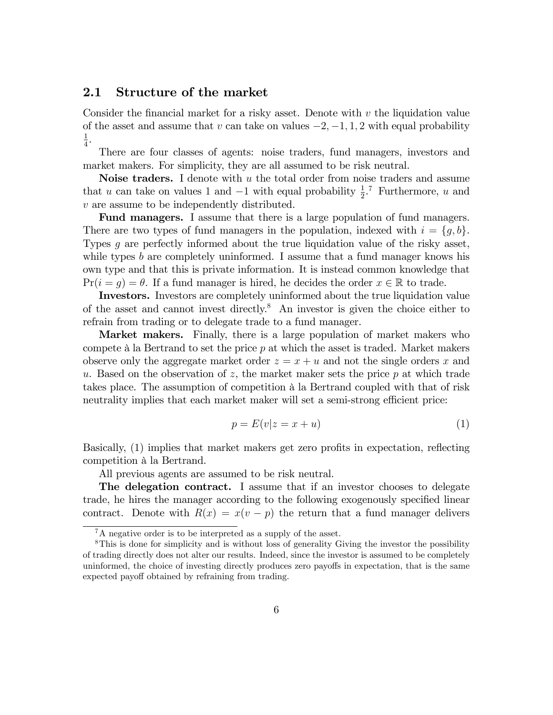### 2.1 Structure of the market

Consider the financial market for a risky asset. Denote with  $v$  the liquidation value of the asset and assume that v can take on values  $-2, -1, 1, 2$  with equal probability 1  $\frac{1}{4}$ .

There are four classes of agents: noise traders, fund managers, investors and market makers. For simplicity, they are all assumed to be risk neutral.

**Noise traders.** I denote with  $u$  the total order from noise traders and assume that u can take on values 1 and  $-1$  with equal probability  $\frac{1}{2}$ .<sup>7</sup> Furthermore, u and v are assume to be independently distributed.

Fund managers. I assume that there is a large population of fund managers. There are two types of fund managers in the population, indexed with  $i = \{g, b\}$ . Types g are perfectly informed about the true liquidation value of the risky asset, while types b are completely uninformed. I assume that a fund manager knows his own type and that this is private information. It is instead common knowledge that  $Pr(i = g) = \theta$ . If a fund manager is hired, he decides the order  $x \in \mathbb{R}$  to trade.

Investors. Investors are completely uninformed about the true liquidation value of the asset and cannot invest directly.<sup>8</sup> An investor is given the choice either to refrain from trading or to delegate trade to a fund manager.

Market makers. Finally, there is a large population of market makers who compete  $\hat{a}$  la Bertrand to set the price p at which the asset is traded. Market makers observe only the aggregate market order  $z = x + u$  and not the single orders x and u. Based on the observation of z, the market maker sets the price  $p$  at which trade takes place. The assumption of competition à la Bertrand coupled with that of risk neutrality implies that each market maker will set a semi-strong efficient price:

$$
p = E(v|z = x + u)
$$
\n<sup>(1)</sup>

Basically, (1) implies that market makers get zero profits in expectation, reflecting competition à la Bertrand.

All previous agents are assumed to be risk neutral.

The delegation contract. I assume that if an investor chooses to delegate trade, he hires the manager according to the following exogenously specified linear contract. Denote with  $R(x) = x(v - p)$  the return that a fund manager delivers

 ${}^{7}$ A negative order is to be interpreted as a supply of the asset.

<sup>8</sup>This is done for simplicity and is without loss of generality Giving the investor the possibility of trading directly does not alter our results. Indeed, since the investor is assumed to be completely uninformed, the choice of investing directly produces zero payoffs in expectation, that is the same expected payoff obtained by refraining from trading.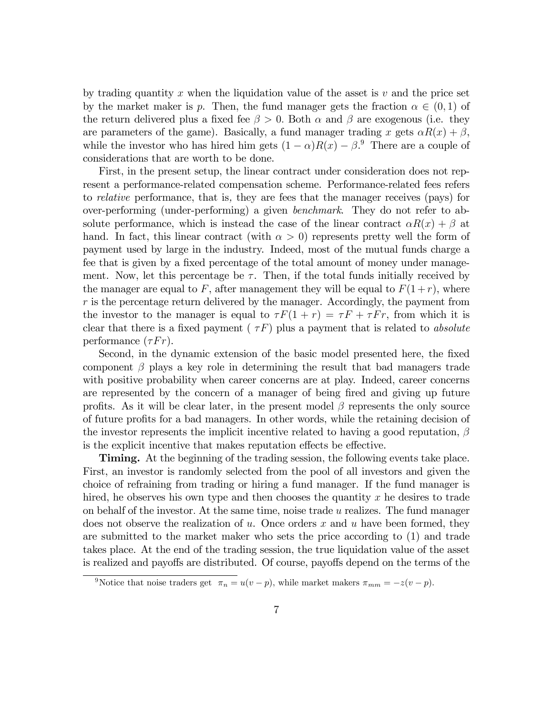by trading quantity x when the liquidation value of the asset is  $v$  and the price set by the market maker is p. Then, the fund manager gets the fraction  $\alpha \in (0,1)$  of the return delivered plus a fixed fee  $\beta > 0$ . Both  $\alpha$  and  $\beta$  are exogenous (i.e. they are parameters of the game). Basically, a fund manager trading x gets  $\alpha R(x) + \beta$ , while the investor who has hired him gets  $(1 - \alpha)R(x) - \beta$ .<sup>9</sup> There are a couple of considerations that are worth to be done.

First, in the present setup, the linear contract under consideration does not represent a performance-related compensation scheme. Performance-related fees refers to relative performance, that is, they are fees that the manager receives (pays) for over-performing (under-performing) a given benchmark. They do not refer to absolute performance, which is instead the case of the linear contract  $\alpha R(x) + \beta$  at hand. In fact, this linear contract (with  $\alpha > 0$ ) represents pretty well the form of payment used by large in the industry. Indeed, most of the mutual funds charge a fee that is given by a fixed percentage of the total amount of money under management. Now, let this percentage be  $\tau$ . Then, if the total funds initially received by the manager are equal to F, after management they will be equal to  $F(1+r)$ , where  $r$  is the percentage return delivered by the manager. Accordingly, the payment from the investor to the manager is equal to  $\tau F(1 + r) = \tau F + \tau F r$ , from which it is clear that there is a fixed payment ( $\tau F$ ) plus a payment that is related to absolute performance  $(\tau F r)$ .

Second, in the dynamic extension of the basic model presented here, the Öxed component  $\beta$  plays a key role in determining the result that bad managers trade with positive probability when career concerns are at play. Indeed, career concerns are represented by the concern of a manager of being fired and giving up future profits. As it will be clear later, in the present model  $\beta$  represents the only source of future profits for a bad managers. In other words, while the retaining decision of the investor represents the implicit incentive related to having a good reputation,  $\beta$ is the explicit incentive that makes reputation effects be effective.

Timing. At the beginning of the trading session, the following events take place. First, an investor is randomly selected from the pool of all investors and given the choice of refraining from trading or hiring a fund manager. If the fund manager is hired, he observes his own type and then chooses the quantity  $x$  he desires to trade on behalf of the investor: At the same time, noise trade u realizes. The fund manager does not observe the realization of u. Once orders x and u have been formed, they are submitted to the market maker who sets the price according to (1) and trade takes place. At the end of the trading session, the true liquidation value of the asset is realized and payoffs are distributed. Of course, payoffs depend on the terms of the

<sup>&</sup>lt;sup>9</sup>Notice that noise traders get  $\pi_n = u(v - p)$ , while market makers  $\pi_{mm} = -z(v - p)$ .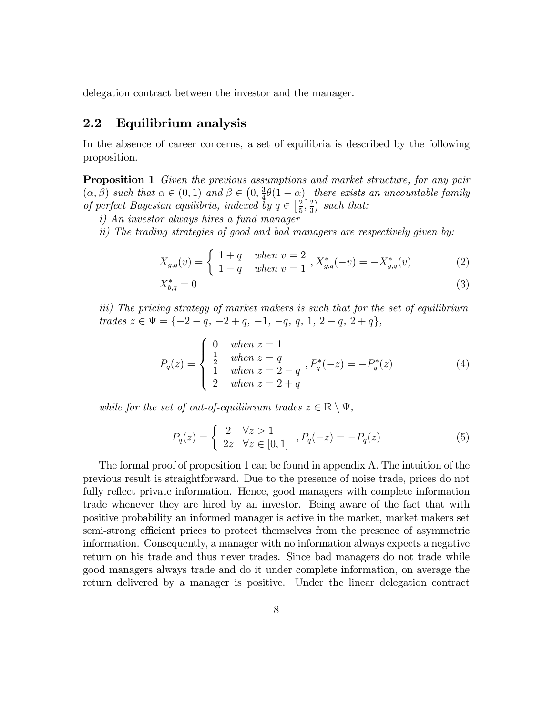delegation contract between the investor and the manager.

### 2.2 Equilibrium analysis

In the absence of career concerns, a set of equilibria is described by the following proposition.

Proposition 1 Given the previous assumptions and market structure, for any pair  $(\alpha, \beta)$  such that  $\alpha \in (0, 1)$  and  $\beta \in \left(0, \frac{3}{4}\right)$  $\frac{3}{4}\theta(1-\alpha)$  there exists an uncountable family of perfect Bayesian equilibria, indexed by  $q \in \left[\frac{2}{5}\right]$  $\frac{2}{5}$ ,  $\frac{2}{3}$  $\frac{2}{3}$ ) such that:

i) An investor always hires a fund manager

ii) The trading strategies of good and bad managers are respectively given by:

$$
X_{g,q}(v) = \begin{cases} 1+q & when \ v = 2 \\ 1-q & when \ v = 1 \end{cases}, X_{g,q}^*(-v) = -X_{g,q}^*(v) \tag{2}
$$

$$
X_{b,q}^* = 0 \tag{3}
$$

iii) The pricing strategy of market makers is such that for the set of equilibrium  $trades \ z \in \Psi = \{-2 - q, -2 + q, -1, -q, q, 1, 2 - q, 2 + q\},\$ 

$$
P_q(z) = \begin{cases} 0 & when \ z = 1 \\ \frac{1}{2} & when \ z = q \\ 1 & when \ z = 2 - q \\ 2 & when \ z = 2 + q \end{cases}, P_q^*(-z) = -P_q^*(z) \tag{4}
$$

while for the set of out-of-equilibrium trades  $z \in \mathbb{R} \setminus \Psi$ ,

$$
P_q(z) = \begin{cases} 2 & \forall z > 1 \\ 2z & \forall z \in [0, 1] \end{cases}, P_q(-z) = -P_q(z) \tag{5}
$$

The formal proof of proposition 1 can be found in appendix A. The intuition of the previous result is straightforward. Due to the presence of noise trade, prices do not fully reflect private information. Hence, good managers with complete information trade whenever they are hired by an investor. Being aware of the fact that with positive probability an informed manager is active in the market, market makers set semi-strong efficient prices to protect themselves from the presence of asymmetric information. Consequently, a manager with no information always expects a negative return on his trade and thus never trades. Since bad managers do not trade while good managers always trade and do it under complete information, on average the return delivered by a manager is positive. Under the linear delegation contract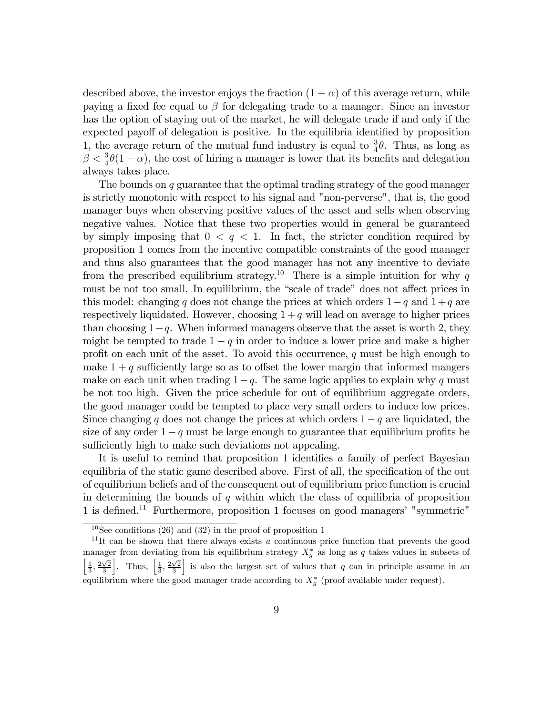described above, the investor enjoys the fraction  $(1 - \alpha)$  of this average return, while paying a fixed fee equal to  $\beta$  for delegating trade to a manager. Since an investor has the option of staying out of the market, he will delegate trade if and only if the expected payoff of delegation is positive. In the equilibria identified by proposition 1, the average return of the mutual fund industry is equal to  $\frac{3}{4}\theta$ . Thus, as long as  $\beta < \frac{3}{4}\theta(1-\alpha)$ , the cost of hiring a manager is lower that its benefits and delegation always takes place.

The bounds on q guarantee that the optimal trading strategy of the good manager is strictly monotonic with respect to his signal and "non-perverse", that is, the good manager buys when observing positive values of the asset and sells when observing negative values. Notice that these two properties would in general be guaranteed by simply imposing that  $0 < q < 1$ . In fact, the stricter condition required by proposition 1 comes from the incentive compatible constraints of the good manager and thus also guarantees that the good manager has not any incentive to deviate from the prescribed equilibrium strategy.<sup>10</sup> There is a simple intuition for why q must be not too small. In equilibrium, the "scale of trade" does not affect prices in this model: changing q does not change the prices at which orders  $1-q$  and  $1+q$  are respectively liquidated. However, choosing  $1 + q$  will lead on average to higher prices than choosing  $1-q$ . When informed managers observe that the asset is worth 2, they might be tempted to trade  $1 - q$  in order to induce a lower price and make a higher profit on each unit of the asset. To avoid this occurrence,  $q$  must be high enough to make  $1 + q$  sufficiently large so as to offset the lower margin that informed mangers make on each unit when trading  $1-q$ . The same logic applies to explain why q must be not too high. Given the price schedule for out of equilibrium aggregate orders, the good manager could be tempted to place very small orders to induce low prices. Since changing q does not change the prices at which orders  $1 - q$  are liquidated, the size of any order  $1-q$  must be large enough to guarantee that equilibrium profits be sufficiently high to make such deviations not appealing.

It is useful to remind that proposition 1 identifies a family of perfect Bayesian equilibria of the static game described above. First of all, the specification of the out of equilibrium beliefs and of the consequent out of equilibrium price function is crucial in determining the bounds of  $q$  within which the class of equilibria of proposition 1 is defined.<sup>11</sup> Furthermore, proposition 1 focuses on good managers' "symmetric"

 $10$ See conditions (26) and (32) in the proof of proposition 1

<sup>&</sup>lt;sup>11</sup>It can be shown that there always exists a continuous price function that prevents the good manager from deviating from his equilibrium strategy  $X_g^*$  as long as q takes values in subsets of  $\left[\frac{1}{3}, \frac{2\sqrt{2}}{3}\right]$ . Thus,  $\left[\frac{1}{3}, \frac{2\sqrt{2}}{3}\right]$ is also the largest set of values that  $q$  can in principle assume in an equilibrium where the good manager trade according to  $X_g^*$  (proof available under request).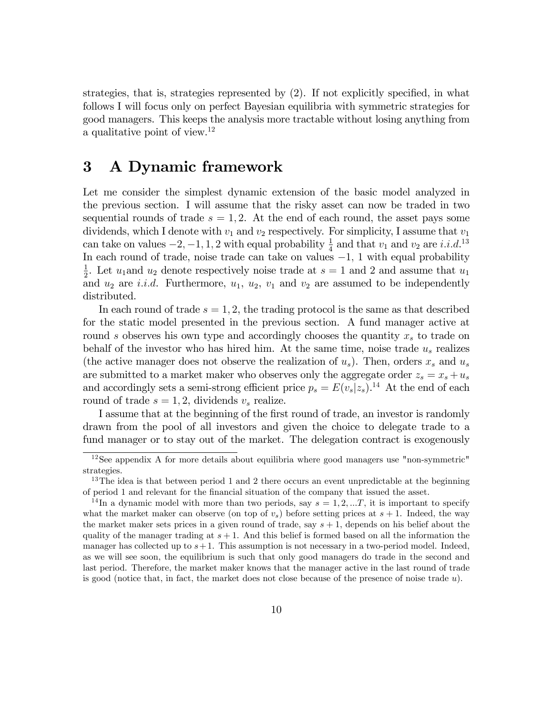strategies, that is, strategies represented by  $(2)$ . If not explicitly specified, in what follows I will focus only on perfect Bayesian equilibria with symmetric strategies for good managers. This keeps the analysis more tractable without losing anything from a qualitative point of view.<sup>12</sup>

# 3 A Dynamic framework

Let me consider the simplest dynamic extension of the basic model analyzed in the previous section. I will assume that the risky asset can now be traded in two sequential rounds of trade  $s = 1, 2$ . At the end of each round, the asset pays some dividends, which I denote with  $v_1$  and  $v_2$  respectively. For simplicity, I assume that  $v_1$ can take on values  $-2, -1, 1, 2$  with equal probability  $\frac{1}{4}$  and that  $v_1$  and  $v_2$  are *i.i.d.*<sup>13</sup> In each round of trade, noise trade can take on values  $-1$ , 1 with equal probability 1  $\frac{1}{2}$ . Let  $u_1$  and  $u_2$  denote respectively noise trade at  $s = 1$  and 2 and assume that  $u_1$ and  $u_2$  are *i.i.d.* Furthermore,  $u_1$ ,  $u_2$ ,  $v_1$  and  $v_2$  are assumed to be independently distributed.

In each round of trade  $s = 1, 2$ , the trading protocol is the same as that described for the static model presented in the previous section. A fund manager active at round s observes his own type and accordingly chooses the quantity  $x<sub>s</sub>$  to trade on behalf of the investor who has hired him. At the same time, noise trade  $u_s$  realizes (the active manager does not observe the realization of  $u_s$ ). Then, orders  $x_s$  and  $u_s$ are submitted to a market maker who observes only the aggregate order  $z_s = x_s + u_s$ and accordingly sets a semi-strong efficient price  $p_s = E(v_s|z_s)$ .<sup>14</sup> At the end of each round of trade  $s = 1, 2$ , dividends  $v_s$  realize.

I assume that at the beginning of the first round of trade, an investor is randomly drawn from the pool of all investors and given the choice to delegate trade to a fund manager or to stay out of the market. The delegation contract is exogenously

 $12$ See appendix A for more details about equilibria where good managers use "non-symmetric" strategies.

<sup>&</sup>lt;sup>13</sup>The idea is that between period 1 and 2 there occurs an event unpredictable at the beginning of period 1 and relevant for the Önancial situation of the company that issued the asset.

<sup>&</sup>lt;sup>14</sup>In a dynamic model with more than two periods, say  $s = 1, 2, \dots T$ , it is important to specify what the market maker can observe (on top of  $v_s$ ) before setting prices at  $s + 1$ . Indeed, the way the market maker sets prices in a given round of trade, say  $s + 1$ , depends on his belief about the quality of the manager trading at  $s + 1$ . And this belief is formed based on all the information the manager has collected up to  $s+1$ . This assumption is not necessary in a two-period model. Indeed, as we will see soon, the equilibrium is such that only good managers do trade in the second and last period. Therefore, the market maker knows that the manager active in the last round of trade is good (notice that, in fact, the market does not close because of the presence of noise trade u).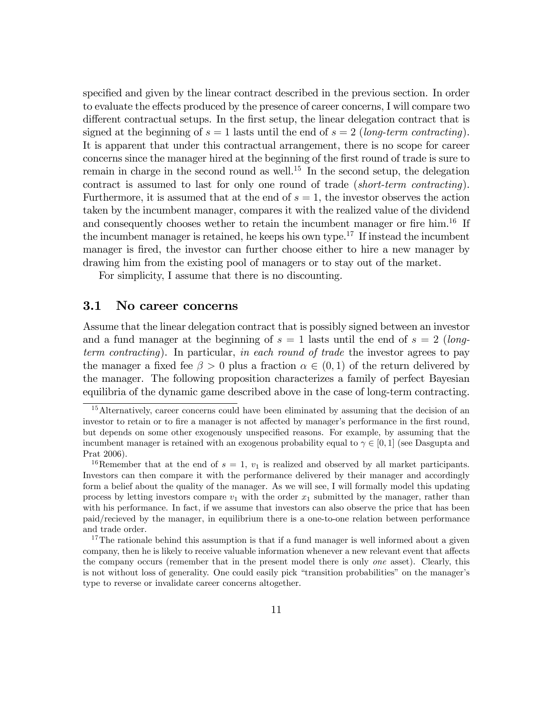specified and given by the linear contract described in the previous section. In order to evaluate the effects produced by the presence of career concerns, I will compare two different contractual setups. In the first setup, the linear delegation contract that is signed at the beginning of  $s = 1$  lasts until the end of  $s = 2$  (long-term contracting). It is apparent that under this contractual arrangement, there is no scope for career concerns since the manager hired at the beginning of the first round of trade is sure to remain in charge in the second round as well.<sup>15</sup> In the second setup, the delegation contract is assumed to last for only one round of trade (short-term contracting). Furthermore, it is assumed that at the end of  $s = 1$ , the investor observes the action taken by the incumbent manager, compares it with the realized value of the dividend and consequently chooses wether to retain the incumbent manager or fire  $\lim_{n \to \infty} 1^6$  If the incumbent manager is retained, he keeps his own type.<sup>17</sup> If instead the incumbent manager is fired, the investor can further choose either to hire a new manager by drawing him from the existing pool of managers or to stay out of the market.

For simplicity, I assume that there is no discounting.

### 3.1 No career concerns

Assume that the linear delegation contract that is possibly signed between an investor and a fund manager at the beginning of  $s = 1$  lasts until the end of  $s = 2$  (longterm contracting). In particular, in each round of trade the investor agrees to pay the manager a fixed fee  $\beta > 0$  plus a fraction  $\alpha \in (0,1)$  of the return delivered by the manager. The following proposition characterizes a family of perfect Bayesian equilibria of the dynamic game described above in the case of long-term contracting.

<sup>&</sup>lt;sup>15</sup>Alternatively, career concerns could have been eliminated by assuming that the decision of an investor to retain or to fire a manager is not affected by manager's performance in the first round, but depends on some other exogenously unspecified reasons. For example, by assuming that the incumbent manager is retained with an exogenous probability equal to  $\gamma \in [0,1]$  (see Dasgupta and Prat 2006).

<sup>&</sup>lt;sup>16</sup>Remember that at the end of  $s = 1$ ,  $v_1$  is realized and observed by all market participants. Investors can then compare it with the performance delivered by their manager and accordingly form a belief about the quality of the manager. As we will see, I will formally model this updating process by letting investors compare  $v_1$  with the order  $x_1$  submitted by the manager, rather than with his performance. In fact, if we assume that investors can also observe the price that has been paid/recieved by the manager, in equilibrium there is a one-to-one relation between performance and trade order.

<sup>&</sup>lt;sup>17</sup>The rationale behind this assumption is that if a fund manager is well informed about a given company, then he is likely to receive valuable information whenever a new relevant event that affects the company occurs (remember that in the present model there is only one asset). Clearly, this is not without loss of generality. One could easily pick "transition probabilities" on the manager's type to reverse or invalidate career concerns altogether.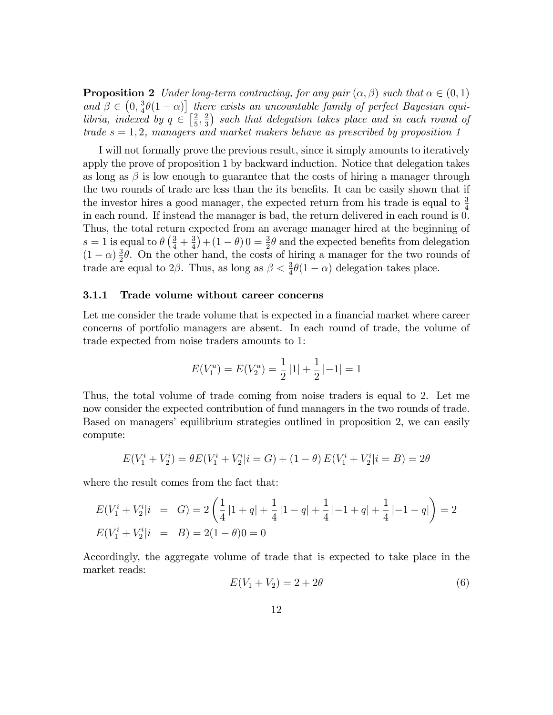**Proposition 2** Under long-term contracting, for any pair  $(\alpha, \beta)$  such that  $\alpha \in (0, 1)$ and  $\beta \in \left(0, \frac{3}{4}\right)$  $\frac{3}{4}\theta(1-\alpha)$  there exists an uncountable family of perfect Bayesian equilibria, indexed by  $q \in \left[\frac{2}{5}\right]$  $\frac{2}{5}, \frac{2}{3}$  $\frac{2}{3}$ ) such that delegation takes place and in each round of trade  $s = 1, 2$ , managers and market makers behave as prescribed by proposition 1

I will not formally prove the previous result, since it simply amounts to iteratively apply the prove of proposition 1 by backward induction. Notice that delegation takes as long as  $\beta$  is low enough to guarantee that the costs of hiring a manager through the two rounds of trade are less than the its benefits. It can be easily shown that if the investor hires a good manager, the expected return from his trade is equal to  $\frac{3}{4}$ in each round. If instead the manager is bad, the return delivered in each round is 0. Thus, the total return expected from an average manager hired at the beginning of  $s = 1$  is equal to  $\theta \left(\frac{3}{4} + \frac{3}{4}\right)$  $(\frac{3}{4}) + (1 - \theta) 0 = \frac{3}{2}\theta$  and the expected benefits from delegation  $(1 - \alpha) \frac{3}{2}$  $\frac{3}{2}\theta$ . On the other hand, the costs of hiring a manager for the two rounds of trade are equal to  $2\beta$ . Thus, as long as  $\beta < \frac{3}{4}\theta(1-\alpha)$  delegation takes place.

#### 3.1.1 Trade volume without career concerns

Let me consider the trade volume that is expected in a financial market where career concerns of portfolio managers are absent. In each round of trade, the volume of trade expected from noise traders amounts to 1:

$$
E(V_1^u) = E(V_2^u) = \frac{1}{2} |1| + \frac{1}{2} |1 - 1| = 1
$$

Thus, the total volume of trade coming from noise traders is equal to 2. Let me now consider the expected contribution of fund managers in the two rounds of trade. Based on managers' equilibrium strategies outlined in proposition 2, we can easily compute:

$$
E(V_1^i + V_2^i) = \theta E(V_1^i + V_2^i | i = G) + (1 - \theta) E(V_1^i + V_2^i | i = B) = 2\theta
$$

where the result comes from the fact that:

$$
E(V_1^i + V_2^i|i = G) = 2\left(\frac{1}{4}|1+q| + \frac{1}{4}|1-q| + \frac{1}{4}|-1+q| + \frac{1}{4}|-1-q|\right) = 2
$$
  

$$
E(V_1^i + V_2^i|i = B) = 2(1-\theta)0 = 0
$$

Accordingly, the aggregate volume of trade that is expected to take place in the market reads:

$$
E(V_1 + V_2) = 2 + 2\theta
$$
\n(6)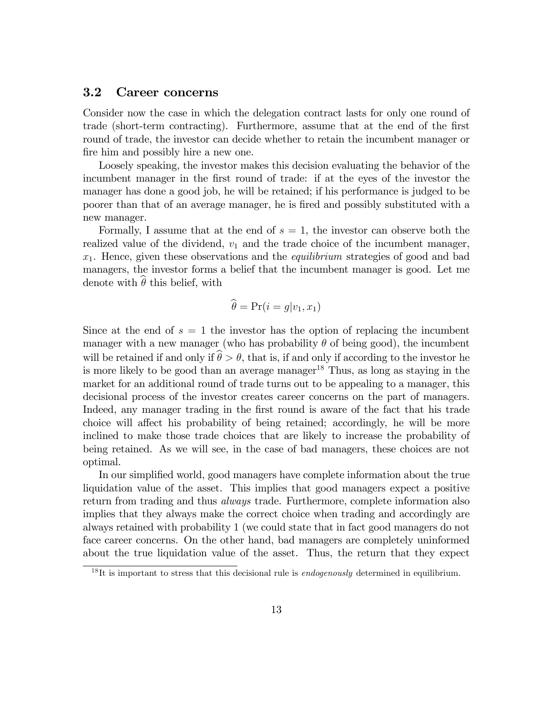### 3.2 Career concerns

Consider now the case in which the delegation contract lasts for only one round of trade (short-term contracting). Furthermore, assume that at the end of the first round of trade, the investor can decide whether to retain the incumbent manager or fire him and possibly hire a new one.

Loosely speaking, the investor makes this decision evaluating the behavior of the incumbent manager in the Örst round of trade: if at the eyes of the investor the manager has done a good job, he will be retained; if his performance is judged to be poorer than that of an average manager, he is Öred and possibly substituted with a new manager.

Formally, I assume that at the end of  $s = 1$ , the investor can observe both the realized value of the dividend,  $v_1$  and the trade choice of the incumbent manager,  $x_1$ . Hence, given these observations and the *equilibrium* strategies of good and bad managers, the investor forms a belief that the incumbent manager is good. Let me denote with  $\theta$  this belief, with

$$
\theta = \Pr(i = g|v_1, x_1)
$$

Since at the end of  $s = 1$  the investor has the option of replacing the incumbent manager with a new manager (who has probability  $\theta$  of being good), the incumbent will be retained if and only if  $\hat{\theta} > \theta$ , that is, if and only if according to the investor he is more likely to be good than an average manager<sup>18</sup> Thus, as long as staying in the market for an additional round of trade turns out to be appealing to a manager, this decisional process of the investor creates career concerns on the part of managers. Indeed, any manager trading in the first round is aware of the fact that his trade choice will affect his probability of being retained; accordingly, he will be more inclined to make those trade choices that are likely to increase the probability of being retained. As we will see, in the case of bad managers, these choices are not optimal.

In our simplified world, good managers have complete information about the true liquidation value of the asset. This implies that good managers expect a positive return from trading and thus *always* trade. Furthermore, complete information also implies that they always make the correct choice when trading and accordingly are always retained with probability 1 (we could state that in fact good managers do not face career concerns. On the other hand, bad managers are completely uninformed about the true liquidation value of the asset. Thus, the return that they expect

 $^{18}$ It is important to stress that this decisional rule is *endogenously* determined in equilibrium.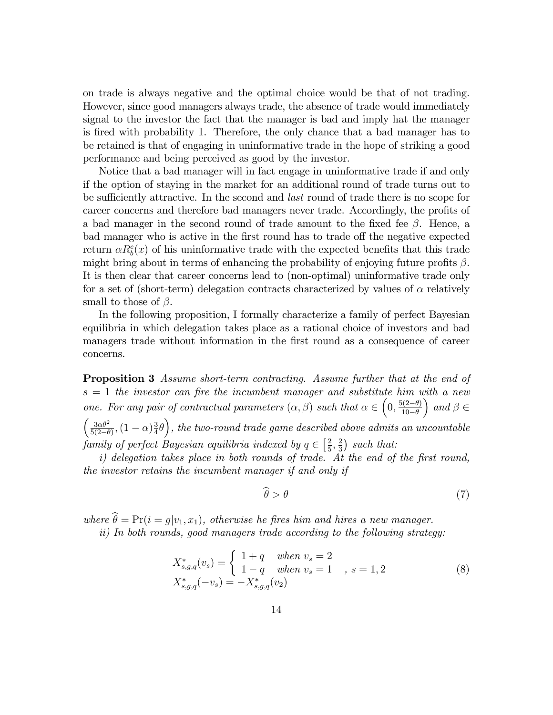on trade is always negative and the optimal choice would be that of not trading. However, since good managers always trade, the absence of trade would immediately signal to the investor the fact that the manager is bad and imply hat the manager is Öred with probability 1. Therefore, the only chance that a bad manager has to be retained is that of engaging in uninformative trade in the hope of striking a good performance and being perceived as good by the investor.

Notice that a bad manager will in fact engage in uninformative trade if and only if the option of staying in the market for an additional round of trade turns out to be sufficiently attractive. In the second and *last* round of trade there is no scope for career concerns and therefore bad managers never trade. Accordingly, the profits of a bad manager in the second round of trade amount to the fixed fee  $\beta$ . Hence, a bad manager who is active in the first round has to trade off the negative expected return  $\alpha R_b^e(x)$  of his uninformative trade with the expected benefits that this trade might bring about in terms of enhancing the probability of enjoying future profits  $\beta$ . It is then clear that career concerns lead to (non-optimal) uninformative trade only for a set of (short-term) delegation contracts characterized by values of  $\alpha$  relatively small to those of  $\beta$ .

In the following proposition, I formally characterize a family of perfect Bayesian equilibria in which delegation takes place as a rational choice of investors and bad managers trade without information in the first round as a consequence of career concerns.

**Proposition 3** Assume short-term contracting. Assume further that at the end of  $s = 1$  the investor can fire the incumbent manager and substitute him with a new one. For any pair of contractual parameters  $(\alpha, \beta)$  such that  $\alpha \in \left(0, \frac{5(2-\theta)}{10-\theta}\right)$  $10-\theta$  $\Big)$  and  $\beta \in$  $\int 3\alpha\theta^2$  $\frac{3\alpha\theta^2}{5(2-\theta)}$ ,  $(1-\alpha)\frac{3}{4}$  $\left(\frac{3}{4}\theta\right)$ , the two-round trade game described above admits an uncountable family of perfect Bayesian equilibria indexed by  $q \in \left[\frac{2}{5}\right]$  $\frac{2}{5}, \frac{2}{3}$  $\frac{2}{3}$ ) such that:

 $i)$  delegation takes place in both rounds of trade. At the end of the first round, the investor retains the incumbent manager if and only if

$$
\widehat{\theta} > \theta \tag{7}
$$

where  $\hat{\theta} = Pr(i = g|v_1, x_1)$ , otherwise he fires him and hires a new manager.

ii) In both rounds, good managers trade according to the following strategy:

$$
X_{s,g,q}^*(v_s) = \begin{cases} 1+q & when \ v_s = 2\\ 1-q & when \ v_s = 1\\ X_{s,g,q}^*(-v_s) = -X_{s,g,q}^*(v_2) \end{cases}, \ s = 1, 2
$$
 (8)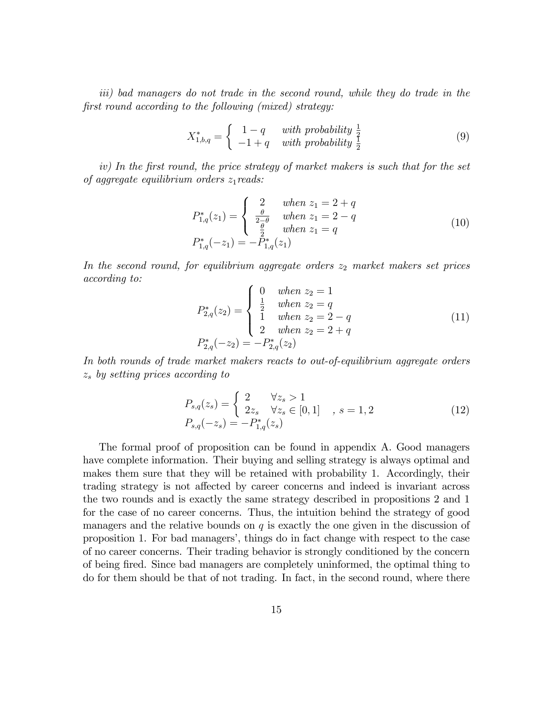iii) bad managers do not trade in the second round, while they do trade in the first round according to the following (mixed) strategy:

$$
X_{1,b,q}^* = \begin{cases} 1-q & with \ probability \frac{1}{2} \\ -1+q & with \ probability \frac{1}{2} \end{cases}
$$
 (9)

iv) In the first round, the price strategy of market makers is such that for the set of aggregate equilibrium orders  $z_1$ reads:

$$
P_{1,q}^{*}(z_1) = \begin{cases} 2 & when z_1 = 2 + q \\ \frac{\theta}{2 - \theta} & when z_1 = 2 - q \\ \frac{\theta}{2} & when z_1 = q \end{cases}
$$
  
\n
$$
P_{1,q}^{*}(-z_1) = -P_{1,q}^{*}(z_1)
$$
\n(10)

In the second round, for equilibrium aggregate orders  $z_2$  market makers set prices according to:

$$
P_{2,q}^{*}(z_2) = \begin{cases} 0 & when z_2 = 1\\ \frac{1}{2} & when z_2 = q\\ 1 & when z_2 = 2 - q\\ 2 & when z_2 = 2 + q \end{cases}
$$
(11)  

$$
P_{2,q}^{*}(-z_2) = -P_{2,q}^{*}(z_2)
$$

In both rounds of trade market makers reacts to out-of-equilibrium aggregate orders  $z<sub>s</sub>$  by setting prices according to

$$
P_{s,q}(z_s) = \begin{cases} 2 & \forall z_s > 1\\ 2z_s & \forall z_s \in [0,1] \\ P_{s,q}(-z_s) = -P_{1,q}^*(z_s) \end{cases}
$$
 (12)

The formal proof of proposition can be found in appendix A. Good managers have complete information. Their buying and selling strategy is always optimal and makes them sure that they will be retained with probability 1. Accordingly, their trading strategy is not affected by career concerns and indeed is invariant across the two rounds and is exactly the same strategy described in propositions 2 and 1 for the case of no career concerns. Thus, the intuition behind the strategy of good managers and the relative bounds on  $q$  is exactly the one given in the discussion of proposition 1. For bad managersí, things do in fact change with respect to the case of no career concerns. Their trading behavior is strongly conditioned by the concern of being Öred. Since bad managers are completely uninformed, the optimal thing to do for them should be that of not trading. In fact, in the second round, where there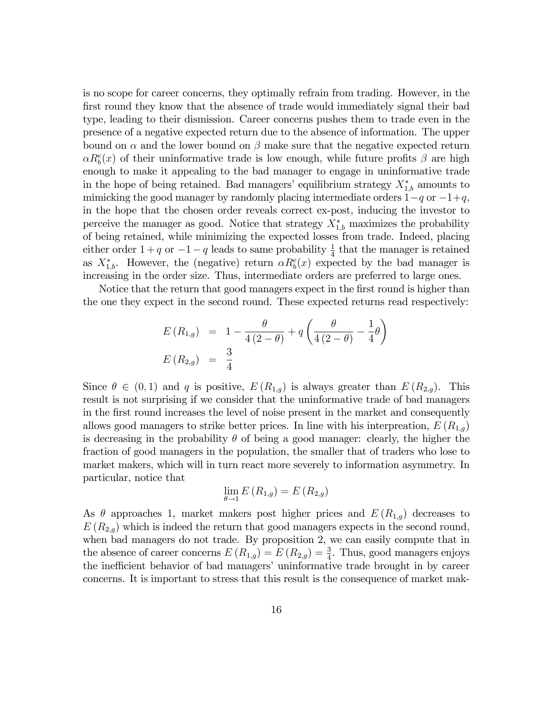is no scope for career concerns, they optimally refrain from trading. However, in the first round they know that the absence of trade would immediately signal their bad type, leading to their dismission. Career concerns pushes them to trade even in the presence of a negative expected return due to the absence of information. The upper bound on  $\alpha$  and the lower bound on  $\beta$  make sure that the negative expected return  $\alpha R_b^e(x)$  of their uninformative trade is low enough, while future profits  $\beta$  are high enough to make it appealing to the bad manager to engage in uninformative trade in the hope of being retained. Bad managers' equilibrium strategy  $X_{1,b}^*$  amounts to mimicking the good manager by randomly placing intermediate orders  $1-q$  or  $-1+q$ , in the hope that the chosen order reveals correct ex-post, inducing the investor to perceive the manager as good. Notice that strategy  $X_{1,b}^*$  maximizes the probability of being retained, while minimizing the expected losses from trade. Indeed, placing either order  $1+q$  or  $-1-q$  leads to same probability  $\frac{1}{4}$  that the manager is retained as  $X_{1,b}^*$ . However, the (negative) return  $\alpha R_b^e(x)$  expected by the bad manager is increasing in the order size. Thus, intermediate orders are preferred to large ones.

Notice that the return that good managers expect in the first round is higher than the one they expect in the second round. These expected returns read respectively:

$$
E(R_{1,g}) = 1 - \frac{\theta}{4(2-\theta)} + q\left(\frac{\theta}{4(2-\theta)} - \frac{1}{4}\theta\right)
$$
  

$$
E(R_{2,g}) = \frac{3}{4}
$$

Since  $\theta \in (0, 1)$  and q is positive,  $E(R_{1,q})$  is always greater than  $E(R_{2,q})$ . This result is not surprising if we consider that the uninformative trade of bad managers in the first round increases the level of noise present in the market and consequently allows good managers to strike better prices. In line with his interpreation,  $E(R_{1,g})$ is decreasing in the probability  $\theta$  of being a good manager: clearly, the higher the fraction of good managers in the population, the smaller that of traders who lose to market makers, which will in turn react more severely to information asymmetry. In particular, notice that

$$
\lim_{\theta \to 1} E(R_{1,g}) = E(R_{2,g})
$$

As  $\theta$  approaches 1, market makers post higher prices and  $E(R_{1,g})$  decreases to  $E(R_{2,q})$  which is indeed the return that good managers expects in the second round, when bad managers do not trade. By proposition 2, we can easily compute that in the absence of career concerns  $E(R_{1,g}) = E(R_{2,g}) = \frac{3}{4}$ . Thus, good managers enjoys the inefficient behavior of bad managers' uninformative trade brought in by career concerns. It is important to stress that this result is the consequence of market mak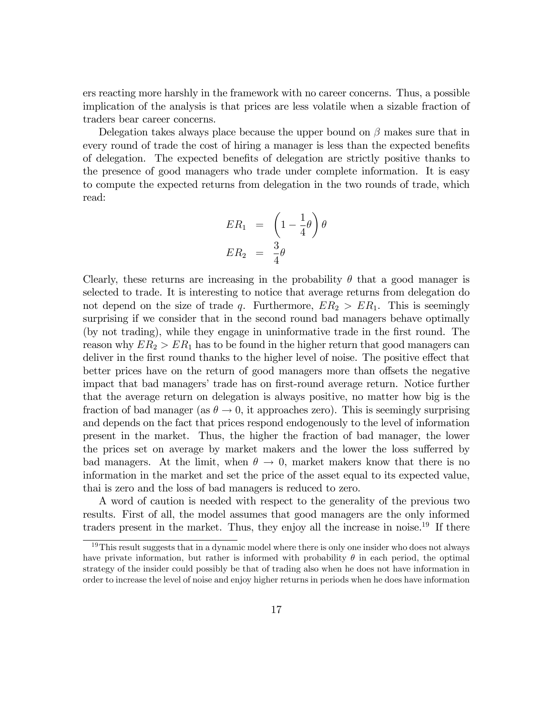ers reacting more harshly in the framework with no career concerns. Thus, a possible implication of the analysis is that prices are less volatile when a sizable fraction of traders bear career concerns.

Delegation takes always place because the upper bound on  $\beta$  makes sure that in every round of trade the cost of hiring a manager is less than the expected benefits of delegation. The expected benefits of delegation are strictly positive thanks to the presence of good managers who trade under complete information. It is easy to compute the expected returns from delegation in the two rounds of trade, which read:

$$
ER_1 = \left(1 - \frac{1}{4}\theta\right)\theta
$$
  

$$
ER_2 = \frac{3}{4}\theta
$$

Clearly, these returns are increasing in the probability  $\theta$  that a good manager is selected to trade. It is interesting to notice that average returns from delegation do not depend on the size of trade q. Furthermore,  $ER_2 > ER_1$ . This is seemingly surprising if we consider that in the second round bad managers behave optimally (by not trading), while they engage in uninformative trade in the first round. The reason why  $ER_2 > ER_1$  has to be found in the higher return that good managers can deliver in the first round thanks to the higher level of noise. The positive effect that better prices have on the return of good managers more than offsets the negative impact that bad managers' trade has on first-round average return. Notice further that the average return on delegation is always positive, no matter how big is the fraction of bad manager (as  $\theta \rightarrow 0$ , it approaches zero). This is seemingly surprising and depends on the fact that prices respond endogenously to the level of information present in the market. Thus, the higher the fraction of bad manager, the lower the prices set on average by market makers and the lower the loss sufferred by bad managers. At the limit, when  $\theta \to 0$ , market makers know that there is no information in the market and set the price of the asset equal to its expected value, thai is zero and the loss of bad managers is reduced to zero.

A word of caution is needed with respect to the generality of the previous two results. First of all, the model assumes that good managers are the only informed traders present in the market. Thus, they enjoy all the increase in noise.<sup>19</sup> If there

<sup>&</sup>lt;sup>19</sup>This result suggests that in a dynamic model where there is only one insider who does not always have private information, but rather is informed with probability  $\theta$  in each period, the optimal strategy of the insider could possibly be that of trading also when he does not have information in order to increase the level of noise and enjoy higher returns in periods when he does have information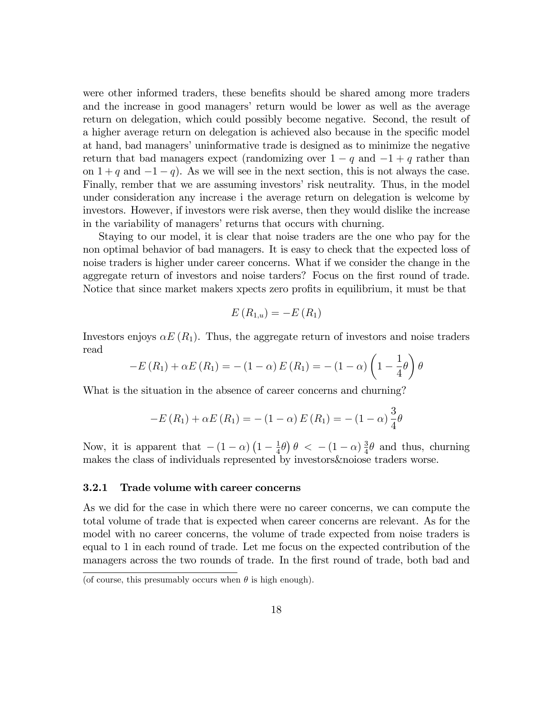were other informed traders, these benefits should be shared among more traders and the increase in good managers' return would be lower as well as the average return on delegation, which could possibly become negative. Second, the result of a higher average return on delegation is achieved also because in the specific model at hand, bad managers' uninformative trade is designed as to minimize the negative return that bad managers expect (randomizing over  $1 - q$  and  $-1 + q$  rather than on  $1 + q$  and  $-1 - q$ . As we will see in the next section, this is not always the case. Finally, rember that we are assuming investors' risk neutrality. Thus, in the model under consideration any increase i the average return on delegation is welcome by investors. However, if investors were risk averse, then they would dislike the increase in the variability of managers' returns that occurs with churning.

Staying to our model, it is clear that noise traders are the one who pay for the non optimal behavior of bad managers. It is easy to check that the expected loss of noise traders is higher under career concerns. What if we consider the change in the aggregate return of investors and noise tarders? Focus on the first round of trade. Notice that since market makers xpects zero profits in equilibrium, it must be that

$$
E(R_{1,u})=-E(R_1)
$$

Investors enjoys  $\alpha E(R_1)$ . Thus, the aggregate return of investors and noise traders read

$$
-E(R_1) + \alpha E(R_1) = -(1-\alpha) E(R_1) = -(1-\alpha) \left(1 - \frac{1}{4}\theta\right) \theta
$$

What is the situation in the absence of career concerns and churning?

$$
-E(R_1) + \alpha E(R_1) = -(1 - \alpha) E(R_1) = -(1 - \alpha) \frac{3}{4} \theta
$$

Now, it is apparent that  $-(1 - \alpha) \left(1 - \frac{1}{4}\right)$  $\frac{1}{4}\theta\big)\theta$  < -  $(1-\alpha)\frac{3}{4}$  $\frac{3}{4}\theta$  and thus, churning makes the class of individuals represented by investors&noiose traders worse.

#### 3.2.1 Trade volume with career concerns

As we did for the case in which there were no career concerns, we can compute the total volume of trade that is expected when career concerns are relevant. As for the model with no career concerns, the volume of trade expected from noise traders is equal to 1 in each round of trade. Let me focus on the expected contribution of the managers across the two rounds of trade. In the first round of trade, both bad and

<sup>(</sup>of course, this presumably occurs when  $\theta$  is high enough).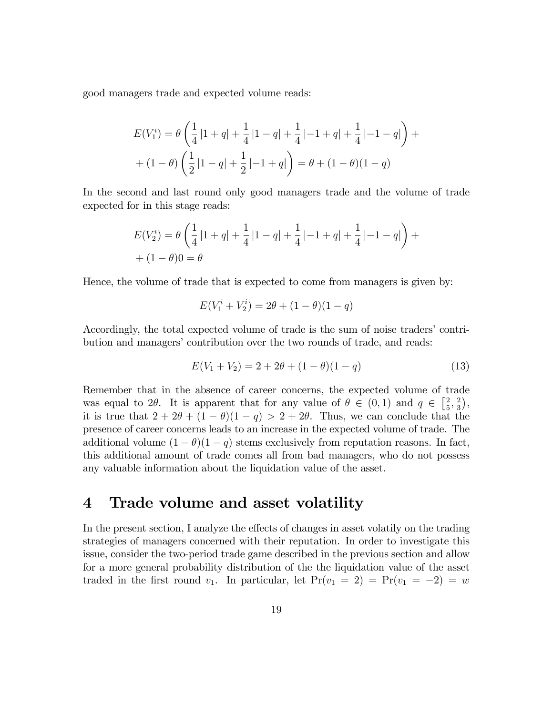good managers trade and expected volume reads:

$$
E(V_1^i) = \theta \left( \frac{1}{4} |1+q| + \frac{1}{4} |1-q| + \frac{1}{4} | -1+q| + \frac{1}{4} | -1-q| \right) +
$$
  
+ 
$$
(1 - \theta) \left( \frac{1}{2} |1-q| + \frac{1}{2} | -1+q| \right) = \theta + (1 - \theta)(1 - q)
$$

In the second and last round only good managers trade and the volume of trade expected for in this stage reads:

$$
E(V_2^i) = \theta \left( \frac{1}{4} |1+q| + \frac{1}{4} |1-q| + \frac{1}{4} | -1+q| + \frac{1}{4} | -1-q| \right) +
$$
  
+ 
$$
(1 - \theta)0 = \theta
$$

Hence, the volume of trade that is expected to come from managers is given by:

$$
E(V_1^i + V_2^i) = 2\theta + (1 - \theta)(1 - q)
$$

Accordingly, the total expected volume of trade is the sum of noise traders' contribution and managers' contribution over the two rounds of trade, and reads:

$$
E(V_1 + V_2) = 2 + 2\theta + (1 - \theta)(1 - q)
$$
\n(13)

Remember that in the absence of career concerns, the expected volume of trade was equal to 2 $\theta$ . It is apparent that for any value of  $\theta \in (0,1)$  and  $q \in \left[\frac{2}{5}\right]$  $\frac{2}{5}, \frac{2}{3}$  $\frac{2}{3}$ , it is true that  $2 + 2\theta + (1 - \theta)(1 - q) > 2 + 2\theta$ . Thus, we can conclude that the presence of career concerns leads to an increase in the expected volume of trade. The additional volume  $(1 - \theta)(1 - q)$  stems exclusively from reputation reasons. In fact, this additional amount of trade comes all from bad managers, who do not possess any valuable information about the liquidation value of the asset.

### 4 Trade volume and asset volatility

In the present section, I analyze the effects of changes in asset volatily on the trading strategies of managers concerned with their reputation. In order to investigate this issue, consider the two-period trade game described in the previous section and allow for a more general probability distribution of the the liquidation value of the asset traded in the first round  $v_1$ . In particular, let  $Pr(v_1 = 2) = Pr(v_1 = -2) = w$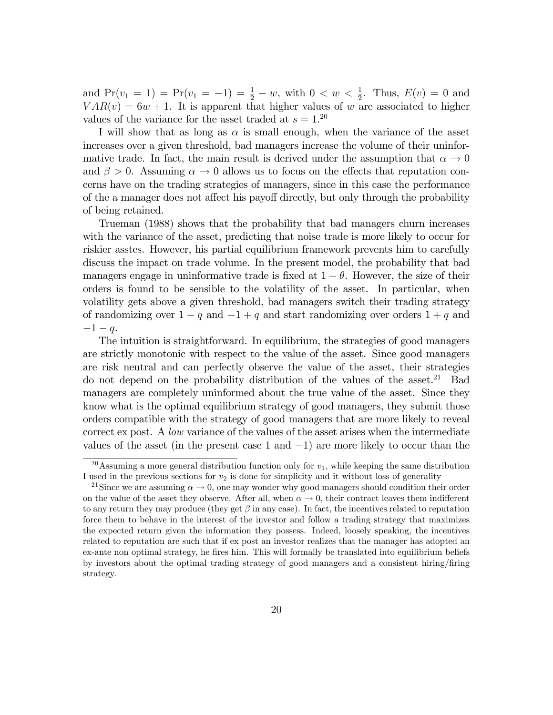and  $Pr(v_1 = 1) = Pr(v_1 = -1) = \frac{1}{2} - w$ , with  $0 < w < \frac{1}{2}$ . Thus,  $E(v) = 0$  and  $VAR(v) = 6w + 1$ . It is apparent that higher values of w are associated to higher values of the variance for the asset traded at  $s = 1$ .<sup>20</sup>

I will show that as long as  $\alpha$  is small enough, when the variance of the asset increases over a given threshold, bad managers increase the volume of their uninformative trade. In fact, the main result is derived under the assumption that  $\alpha \to 0$ and  $\beta > 0$ . Assuming  $\alpha \to 0$  allows us to focus on the effects that reputation concerns have on the trading strategies of managers, since in this case the performance of the a manager does not affect his payoff directly, but only through the probability of being retained.

Trueman (1988) shows that the probability that bad managers churn increases with the variance of the asset, predicting that noise trade is more likely to occur for riskier asstes. However, his partial equilibrium framework prevents him to carefully discuss the impact on trade volume. In the present model, the probability that bad managers engage in uninformative trade is fixed at  $1 - \theta$ . However, the size of their orders is found to be sensible to the volatility of the asset. In particular, when volatility gets above a given threshold, bad managers switch their trading strategy of randomizing over  $1 - q$  and  $-1 + q$  and start randomizing over orders  $1 + q$  and  $-1 - q$ .

The intuition is straightforward. In equilibrium, the strategies of good managers are strictly monotonic with respect to the value of the asset. Since good managers are risk neutral and can perfectly observe the value of the asset, their strategies do not depend on the probability distribution of the values of the asset.<sup>21</sup> Bad managers are completely uninformed about the true value of the asset. Since they know what is the optimal equilibrium strategy of good managers, they submit those orders compatible with the strategy of good managers that are more likely to reveal correct ex post. A low variance of the values of the asset arises when the intermediate values of the asset (in the present case  $1$  and  $-1$ ) are more likely to occur than the

<sup>&</sup>lt;sup>20</sup>Assuming a more general distribution function only for  $v_1$ , while keeping the same distribution I used in the previous sections for  $v_2$  is done for simplicity and it without loss of generality

<sup>&</sup>lt;sup>21</sup>Since we are assuming  $\alpha \to 0$ , one may wonder why good managers should condition their order on the value of the asset they observe. After all, when  $\alpha \to 0$ , their contract leaves them indifferent to any return they may produce (they get  $\beta$  in any case). In fact, the incentives related to reputation force them to behave in the interest of the investor and follow a trading strategy that maximizes the expected return given the information they possess. Indeed, loosely speaking, the incentives related to reputation are such that if ex post an investor realizes that the manager has adopted an ex-ante non optimal strategy, he fires him. This will formally be translated into equilibrium beliefs by investors about the optimal trading strategy of good managers and a consistent hiring/Öring strategy.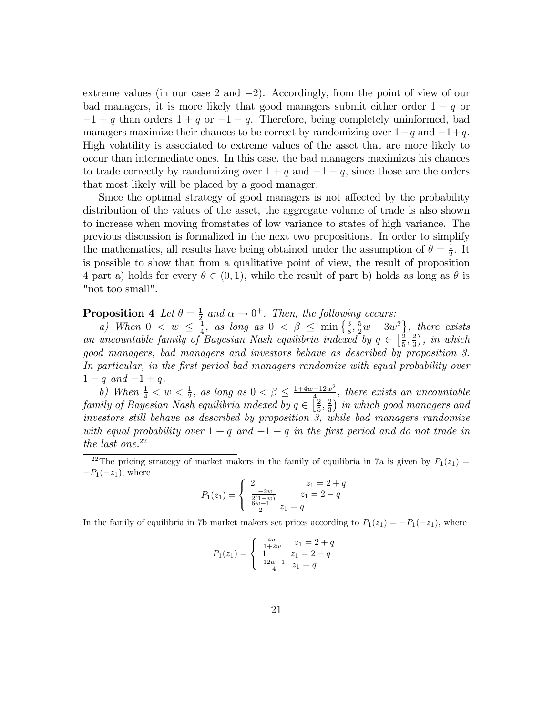extreme values (in our case 2 and  $-2$ ). Accordingly, from the point of view of our bad managers, it is more likely that good managers submit either order  $1 - q$  or  $-1 + q$  than orders  $1 + q$  or  $-1 - q$ . Therefore, being completely uninformed, bad managers maximize their chances to be correct by randomizing over  $1-q$  and  $-1+q$ . High volatility is associated to extreme values of the asset that are more likely to occur than intermediate ones. In this case, the bad managers maximizes his chances to trade correctly by randomizing over  $1 + q$  and  $-1 - q$ , since those are the orders that most likely will be placed by a good manager.

Since the optimal strategy of good managers is not affected by the probability distribution of the values of the asset, the aggregate volume of trade is also shown to increase when moving fromstates of low variance to states of high variance. The previous discussion is formalized in the next two propositions. In order to simplify the mathematics, all results have being obtained under the assumption of  $\theta = \frac{1}{2}$  $\frac{1}{2}$ . It is possible to show that from a qualitative point of view, the result of proposition 4 part a) holds for every  $\theta \in (0, 1)$ , while the result of part b) holds as long as  $\theta$  is "not too small".

**Proposition 4** Let  $\theta = \frac{1}{2}$  $\frac{1}{2}$  and  $\alpha \rightarrow 0^+$ . Then, the following occurs:

a) When  $0 \lt w \leq \frac{1}{4}$  $\frac{1}{4}$ , as long as  $0 < \beta \le \min\left\{\frac{3}{8}, \frac{5}{2}w - 3w^2\right\}$ , there exists an uncountable family of Bayesian Nash equilibria indexed by  $q \in \left[\frac{2}{5}\right]$  $\frac{2}{5}, \frac{2}{3}$  $\frac{2}{3}$ , in which good managers, bad managers and investors behave as described by proposition 3. In particular, in the first period bad managers randomize with equal probability over  $1 - q$  and  $-1 + q$ .

b) When  $\frac{1}{4} < w < \frac{1}{2}$ , as long as  $0 < \beta \leq \frac{1+4w-12w^2}{4}$ , there exists an uncountable family of Bayesian Nash equilibria indexed by  $q \in \left[\frac{2}{5}\right]$  $\frac{2}{5}, \frac{2}{3}$  $\frac{2}{3}$ ) in which good managers and investors still behave as described by proposition 3, while bad managers randomize with equal probability over  $1 + q$  and  $-1 - q$  in the first period and do not trade in the last one.<sup>22</sup>

$$
P_1(z_1) = \begin{cases} 2 & z_1 = 2 + q \\ \frac{1 - 2w}{2(1 - w)} & z_1 = 2 - q \\ \frac{6w - 1}{2} & z_1 = q \end{cases}
$$

In the family of equilibria in 7b market makers set prices according to  $P_1(z_1) = -P_1(-z_1)$ , where

$$
P_1(z_1) = \begin{cases} \frac{4w}{1+2w} & z_1 = 2+q\\ 1 & z_1 = 2-q\\ \frac{12w-1}{4} & z_1 = q \end{cases}
$$

<sup>&</sup>lt;sup>22</sup>The pricing strategy of market makers in the family of equilibria in 7a is given by  $P_1(z_1)$  =  $-P_1(-z_1)$ , where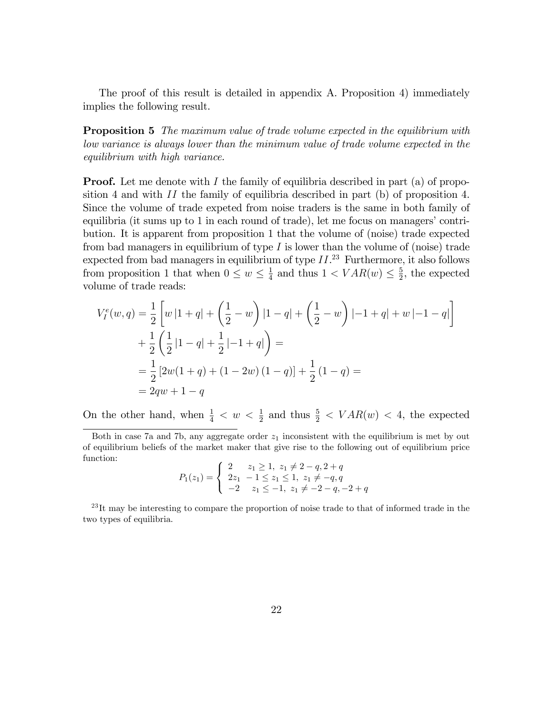The proof of this result is detailed in appendix A. Proposition 4) immediately implies the following result.

**Proposition 5** The maximum value of trade volume expected in the equilibrium with low variance is always lower than the minimum value of trade volume expected in the equilibrium with high variance.

**Proof.** Let me denote with I the family of equilibria described in part (a) of proposition 4 and with  $II$  the family of equilibria described in part (b) of proposition 4. Since the volume of trade expeted from noise traders is the same in both family of equilibria (it sums up to  $1$  in each round of trade), let me focus on managers' contribution. It is apparent from proposition 1 that the volume of (noise) trade expected from bad managers in equilibrium of type  $I$  is lower than the volume of (noise) trade expected from bad managers in equilibrium of type  $II.^{23}$  Furthermore, it also follows from proposition 1 that when  $0 \leq w \leq \frac{1}{4}$  $\frac{1}{4}$  and thus  $1 < VAR(w) \leq \frac{5}{2}$  $\frac{5}{2}$ , the expected volume of trade reads:

$$
V_I^e(w, q) = \frac{1}{2} \left[ w |1 + q| + \left( \frac{1}{2} - w \right) |1 - q| + \left( \frac{1}{2} - w \right) | -1 + q| + w | -1 - q| \right] + \frac{1}{2} \left( \frac{1}{2} |1 - q| + \frac{1}{2} | -1 + q| \right) = = \frac{1}{2} \left[ 2w(1 + q) + (1 - 2w)(1 - q) \right] + \frac{1}{2} (1 - q) = = 2qw + 1 - q
$$

On the other hand, when  $\frac{1}{4} < w < \frac{1}{2}$  and thus  $\frac{5}{2} < VAR(w) < 4$ , the expected

$$
P_1(z_1) = \begin{cases} 2 & z_1 \ge 1, \ z_1 \ne 2-q, 2+q \\ 2z_1 & -1 \le z_1 \le 1, \ z_1 \ne -q, q \\ -2 & z_1 \le -1, \ z_1 \ne -2-q, -2+q \end{cases}
$$

 $^{23}$ It may be interesting to compare the proportion of noise trade to that of informed trade in the two types of equilibria.

Both in case 7a and 7b, any aggregate order  $z_1$  inconsistent with the equilibrium is met by out of equilibrium beliefs of the market maker that give rise to the following out of equilibrium price function: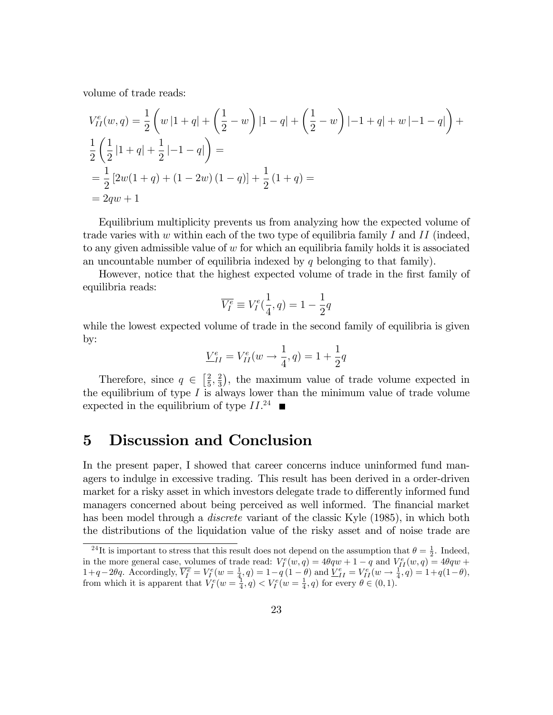volume of trade reads:

$$
V_{II}^{e}(w,q) = \frac{1}{2} \left( w|1+q| + \left( \frac{1}{2} - w \right) |1-q| + \left( \frac{1}{2} - w \right) |-1+q| + w| - 1 - q| \right) +
$$
  
\n
$$
\frac{1}{2} \left( \frac{1}{2} |1+q| + \frac{1}{2} | -1 - q| \right) =
$$
  
\n
$$
= \frac{1}{2} [2w(1+q) + (1-2w)(1-q)] + \frac{1}{2} (1+q) =
$$
  
\n
$$
= 2qw + 1
$$

Equilibrium multiplicity prevents us from analyzing how the expected volume of trade varies with w within each of the two type of equilibria family I and II (indeed, to any given admissible value of  $w$  for which an equilibria family holds it is associated an uncountable number of equilibria indexed by  $q$  belonging to that family).

However, notice that the highest expected volume of trade in the first family of equilibria reads:

$$
\overline{V_I^e} \equiv V_I^e(\frac{1}{4}, q) = 1 - \frac{1}{2}q
$$

while the lowest expected volume of trade in the second family of equilibria is given by:

$$
\underline{V}_{II}^e = V_{II}^e(w \to \frac{1}{4}, q) = 1 + \frac{1}{2}q
$$

Therefore, since  $q \in \left[\frac{2}{5}\right]$  $\frac{2}{5}, \frac{2}{3}$  $\frac{2}{3}$ , the maximum value of trade volume expected in the equilibrium of type  $I$  is always lower than the minimum value of trade volume expected in the equilibrium of type  $II.^{24}$ 

## 5 Discussion and Conclusion

In the present paper, I showed that career concerns induce uninformed fund managers to indulge in excessive trading. This result has been derived in a order-driven market for a risky asset in which investors delegate trade to differently informed fund managers concerned about being perceived as well informed. The financial market has been model through a *discrete* variant of the classic Kyle (1985), in which both the distributions of the liquidation value of the risky asset and of noise trade are

<sup>&</sup>lt;sup>24</sup>It is important to stress that this result does not depend on the assumption that  $\theta = \frac{1}{2}$ . Indeed, in the more general case, volumes of trade read:  $V_f^e(w, q) = 4\theta q w + 1 - q$  and  $V_{fI}^e(w, q) = 4\theta q w +$  $1+q-2\theta q$ . Accordingly,  $\overline{V_f^e} = V_f^e(w = \frac{1}{4}, q) = 1-q(1-\theta)$  and  $\underline{V_{II}^e} = V_{II}^e(w \to \frac{1}{4}, q) = 1+q(1-\theta)$ , from which it is apparent that  $V_I^e(w = \frac{1}{4}, q) < V_I^e(w = \frac{1}{4}, q)$  for every  $\theta \in (0, 1)$ .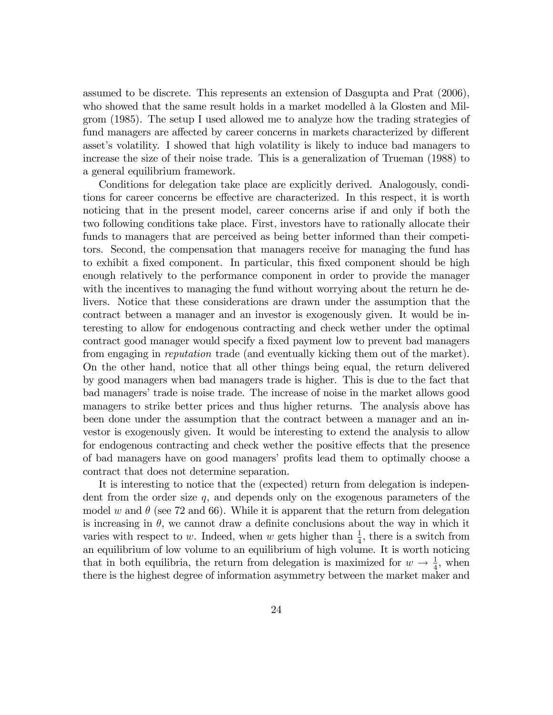assumed to be discrete. This represents an extension of Dasgupta and Prat (2006), who showed that the same result holds in a market modelled à la Glosten and Milgrom (1985). The setup I used allowed me to analyze how the trading strategies of fund managers are affected by career concerns in markets characterized by different asset's volatility. I showed that high volatility is likely to induce bad managers to increase the size of their noise trade. This is a generalization of Trueman (1988) to a general equilibrium framework.

Conditions for delegation take place are explicitly derived. Analogously, conditions for career concerns be effective are characterized. In this respect, it is worth noticing that in the present model, career concerns arise if and only if both the two following conditions take place. First, investors have to rationally allocate their funds to managers that are perceived as being better informed than their competitors. Second, the compensation that managers receive for managing the fund has to exhibit a fixed component. In particular, this fixed component should be high enough relatively to the performance component in order to provide the manager with the incentives to managing the fund without worrying about the return he delivers. Notice that these considerations are drawn under the assumption that the contract between a manager and an investor is exogenously given. It would be interesting to allow for endogenous contracting and check wether under the optimal contract good manager would specify a fixed payment low to prevent bad managers from engaging in reputation trade (and eventually kicking them out of the market). On the other hand, notice that all other things being equal, the return delivered by good managers when bad managers trade is higher. This is due to the fact that bad managers' trade is noise trade. The increase of noise in the market allows good managers to strike better prices and thus higher returns. The analysis above has been done under the assumption that the contract between a manager and an investor is exogenously given. It would be interesting to extend the analysis to allow for endogenous contracting and check wether the positive effects that the presence of bad managers have on good managers' profits lead them to optimally choose a contract that does not determine separation.

It is interesting to notice that the (expected) return from delegation is independent from the order size  $q$ , and depends only on the exogenous parameters of the model w and  $\theta$  (see 72 and 66). While it is apparent that the return from delegation is increasing in  $\theta$ , we cannot draw a definite conclusions about the way in which it varies with respect to w. Indeed, when w gets higher than  $\frac{1}{4}$ , there is a switch from an equilibrium of low volume to an equilibrium of high volume. It is worth noticing that in both equilibria, the return from delegation is maximized for  $w \to \frac{1}{4}$ , when there is the highest degree of information asymmetry between the market maker and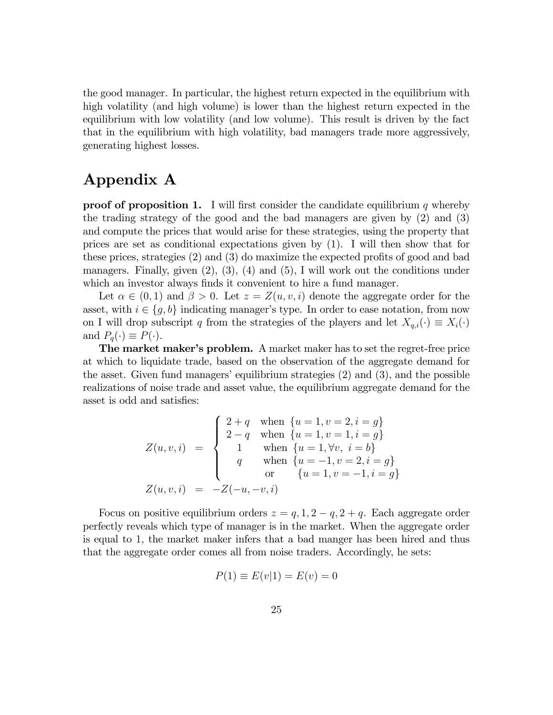the good manager. In particular, the highest return expected in the equilibrium with high volatility (and high volume) is lower than the highest return expected in the equilibrium with low volatility (and low volume). This result is driven by the fact that in the equilibrium with high volatility, bad managers trade more aggressively, generating highest losses.

# Appendix A

**proof of proposition 1.** I will first consider the candidate equilibrium q whereby the trading strategy of the good and the bad managers are given by (2) and (3) and compute the prices that would arise for these strategies, using the property that prices are set as conditional expectations given by (1). I will then show that for these prices, strategies  $(2)$  and  $(3)$  do maximize the expected profits of good and bad managers. Finally, given  $(2)$ ,  $(3)$ ,  $(4)$  and  $(5)$ , I will work out the conditions under which an investor always finds it convenient to hire a fund manager.

Let  $\alpha \in (0,1)$  and  $\beta > 0$ . Let  $z = Z(u,v,i)$  denote the aggregate order for the asset, with  $i \in \{g, b\}$  indicating manager's type. In order to ease notation, from now on I will drop subscript q from the strategies of the players and let  $X_{q,i}(\cdot) \equiv X_i(\cdot)$ and  $P_q(\cdot) \equiv P(\cdot)$ .

The market maker's problem. A market maker has to set the regret-free price at which to liquidate trade, based on the observation of the aggregate demand for the asset. Given fund managers' equilibrium strategies  $(2)$  and  $(3)$ , and the possible realizations of noise trade and asset value, the equilibrium aggregate demand for the asset is odd and satisfies:

$$
Z(u, v, i) = \begin{cases} 2+q & \text{when } \{u = 1, v = 2, i = g\} \\ 2-q & \text{when } \{u = 1, v = 1, i = g\} \\ 1 & \text{when } \{u = 1, \forall v, i = b\} \\ q & \text{when } \{u = -1, v = 2, i = g\} \\ or & \{u = 1, v = -1, i = g\} \end{cases}
$$

$$
Z(u, v, i) = -Z(-u, -v, i)
$$

Focus on positive equilibrium orders  $z = q, 1, 2 - q, 2 + q$ . Each aggregate order perfectly reveals which type of manager is in the market. When the aggregate order is equal to 1, the market maker infers that a bad manger has been hired and thus that the aggregate order comes all from noise traders. Accordingly, he sets:

$$
P(1) \equiv E(v|1) = E(v) = 0
$$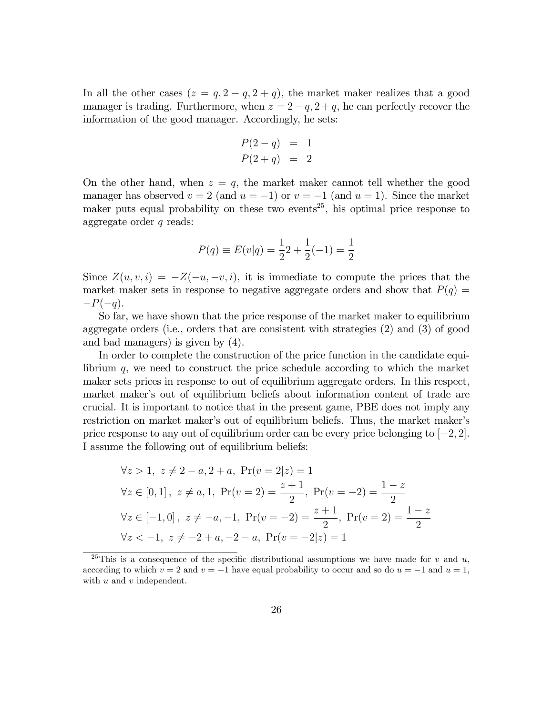In all the other cases  $(z = q, 2 - q, 2 + q)$ , the market maker realizes that a good manager is trading. Furthermore, when  $z = 2 - q$ ,  $z + q$ , he can perfectly recover the information of the good manager. Accordingly, he sets:

$$
P(2-q) = 1
$$
  

$$
P(2+q) = 2
$$

On the other hand, when  $z = q$ , the market maker cannot tell whether the good manager has observed  $v = 2$  (and  $u = -1$ ) or  $v = -1$  (and  $u = 1$ ). Since the market maker puts equal probability on these two events<sup>25</sup>, his optimal price response to aggregate order  $q$  reads:

$$
P(q) \equiv E(v|q) = \frac{1}{2}2 + \frac{1}{2}(-1) = \frac{1}{2}
$$

Since  $Z(u, v, i) = -Z(-u, -v, i)$ , it is immediate to compute the prices that the market maker sets in response to negative aggregate orders and show that  $P(q)$  =  $-P(-q)$ .

So far, we have shown that the price response of the market maker to equilibrium aggregate orders (i.e., orders that are consistent with strategies (2) and (3) of good and bad managers) is given by (4).

In order to complete the construction of the price function in the candidate equilibrium  $q$ , we need to construct the price schedule according to which the market maker sets prices in response to out of equilibrium aggregate orders. In this respect, market maker's out of equilibrium beliefs about information content of trade are crucial. It is important to notice that in the present game, PBE does not imply any restriction on market maker's out of equilibrium beliefs. Thus, the market maker's price response to any out of equilibrium order can be every price belonging to  $[-2, 2]$ . I assume the following out of equilibrium beliefs:

$$
\forall z > 1, \ z \neq 2 - a, 2 + a, \Pr(v = 2|z) = 1
$$
  

$$
\forall z \in [0, 1], \ z \neq a, 1, \Pr(v = 2) = \frac{z + 1}{2}, \Pr(v = -2) = \frac{1 - z}{2}
$$
  

$$
\forall z \in [-1, 0], \ z \neq -a, -1, \Pr(v = -2) = \frac{z + 1}{2}, \Pr(v = 2) = \frac{1 - z}{2}
$$
  

$$
\forall z < -1, \ z \neq -2 + a, -2 - a, \Pr(v = -2|z) = 1
$$

<sup>&</sup>lt;sup>25</sup>This is a consequence of the specific distributional assumptions we have made for v and u, according to which  $v = 2$  and  $v = -1$  have equal probability to occur and so do  $u = -1$  and  $u = 1$ , with  $u$  and  $v$  independent.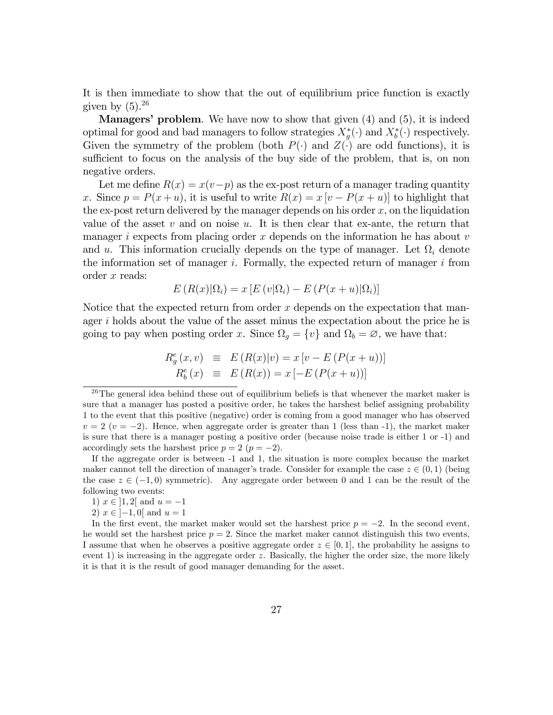It is then immediate to show that the out of equilibrium price function is exactly given by  $(5).^{26}$ 

**Managers' problem.** We have now to show that given  $(4)$  and  $(5)$ , it is indeed optimal for good and bad managers to follow strategies  $X_g^*(\cdot)$  and  $X_b^*(\cdot)$  respectively. Given the symmetry of the problem (both  $P(\cdot)$  and  $Z(\cdot)$  are odd functions), it is sufficient to focus on the analysis of the buy side of the problem, that is, on non negative orders.

Let me define  $R(x) = x(v-p)$  as the ex-post return of a manager trading quantity x. Since  $p = P(x + u)$ , it is useful to write  $R(x) = x [v - P(x + u)]$  to highlight that the ex-post return delivered by the manager depends on his order  $x$ , on the liquidation value of the asset  $v$  and on noise  $u$ . It is then clear that ex-ante, the return that manager i expects from placing order x depends on the information he has about  $v$ and u. This information crucially depends on the type of manager. Let  $\Omega_i$  denote the information set of manager  $i$ . Formally, the expected return of manager  $i$  from order x reads:

$$
E(R(x)|\Omega_i) = x [E(v|\Omega_i) - E(P(x+u)|\Omega_i)]
$$

Notice that the expected return from order  $x$  depends on the expectation that manager  $i$  holds about the value of the asset minus the expectation about the price he is going to pay when posting order x. Since  $\Omega_g = \{v\}$  and  $\Omega_b = \emptyset$ , we have that:

$$
R_g^e(x, v) \equiv E(R(x)|v) = x [v - E(P(x + u))]
$$
  
\n
$$
R_b^e(x) \equiv E(R(x)) = x [-E(P(x + u))]
$$

2)  $x \in [-1, 0]$  and  $u = 1$ 

 $26$ The general idea behind these out of equilibrium beliefs is that whenever the market maker is sure that a manager has posted a positive order, he takes the harshest belief assigning probability 1 to the event that this positive (negative) order is coming from a good manager who has observed  $v = 2$  ( $v = -2$ ). Hence, when aggregate order is greater than 1 (less than -1), the market maker is sure that there is a manager posting a positive order (because noise trade is either 1 or -1) and accordingly sets the harshest price  $p = 2$   $(p = -2)$ .

If the aggregate order is between -1 and 1, the situation is more complex because the market maker cannot tell the direction of manager's trade. Consider for example the case  $z \in (0, 1)$  (being the case  $z \in (-1, 0)$  symmetric). Any aggregate order between 0 and 1 can be the result of the following two events:

<sup>1)</sup>  $x \in [1, 2]$  and  $u = -1$ 

In the first event, the market maker would set the harshest price  $p = -2$ . In the second event, he would set the harshest price  $p = 2$ . Since the market maker cannot distinguish this two events, I assume that when he observes a positive aggregate order  $z \in [0,1]$ , the probability he assigns to event 1) is increasing in the aggregate order z. Basically, the higher the order size, the more likely it is that it is the result of good manager demanding for the asset.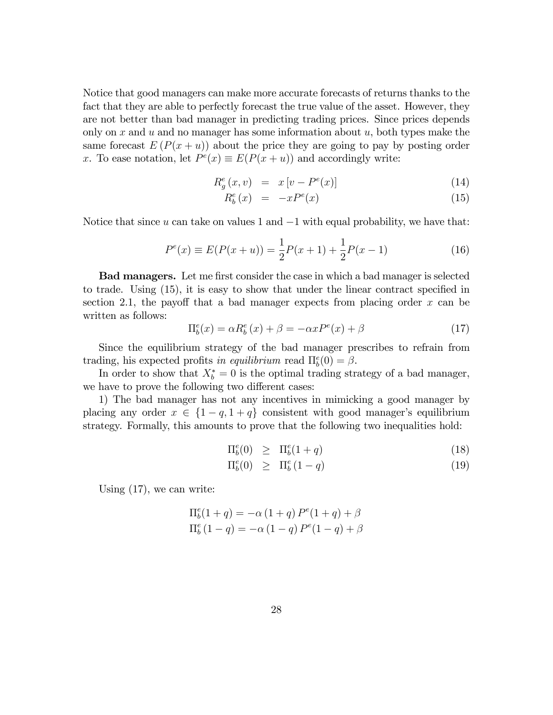Notice that good managers can make more accurate forecasts of returns thanks to the fact that they are able to perfectly forecast the true value of the asset. However, they are not better than bad manager in predicting trading prices. Since prices depends only on x and u and no manager has some information about  $u$ , both types make the same forecast  $E(P(x+u))$  about the price they are going to pay by posting order x. To ease notation, let  $P^e(x) \equiv E(P(x+u))$  and accordingly write:

$$
R_g^e(x,v) = x[v - P^e(x)] \tag{14}
$$

$$
R_b^e(x) = -xP^e(x) \tag{15}
$$

Notice that since  $u$  can take on values 1 and  $-1$  with equal probability, we have that:

$$
P^{e}(x) \equiv E(P(x+u)) = \frac{1}{2}P(x+1) + \frac{1}{2}P(x-1)
$$
\n(16)

**Bad managers.** Let me first consider the case in which a bad manager is selected to trade. Using  $(15)$ , it is easy to show that under the linear contract specified in section 2.1, the payoff that a bad manager expects from placing order  $x$  can be written as follows:

$$
\Pi_b^e(x) = \alpha R_b^e(x) + \beta = -\alpha x P^e(x) + \beta \tag{17}
$$

Since the equilibrium strategy of the bad manager prescribes to refrain from trading, his expected profits in equilibrium read  $\Pi_b^e(0) = \beta$ .

In order to show that  $X_b^* = 0$  is the optimal trading strategy of a bad manager, we have to prove the following two different cases:

1) The bad manager has not any incentives in mimicking a good manager by placing any order  $x \in \{1 - q, 1 + q\}$  consistent with good manager's equilibrium strategy. Formally, this amounts to prove that the following two inequalities hold:

$$
\Pi_b^e(0) \geq \Pi_b^e(1+q) \tag{18}
$$

$$
\Pi_b^e(0) \geq \Pi_b^e(1-q) \tag{19}
$$

Using (17), we can write:

$$
\Pi_b^e(1+q) = -\alpha (1+q) P^e(1+q) + \beta \n\Pi_b^e(1-q) = -\alpha (1-q) P^e(1-q) + \beta
$$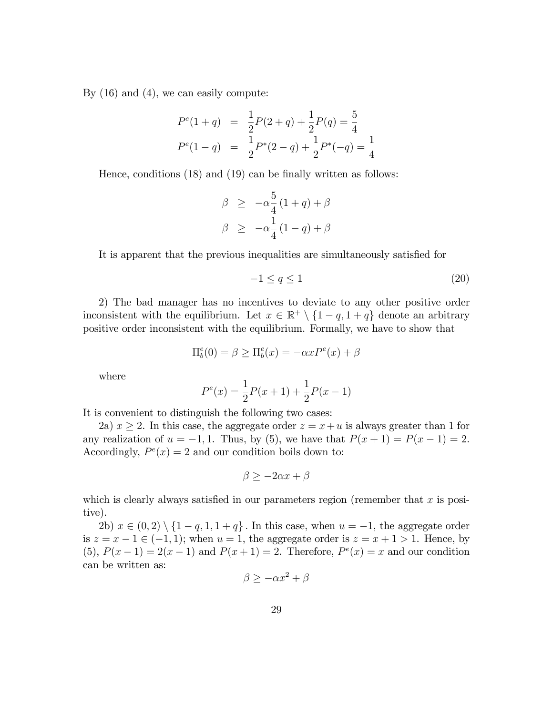By (16) and (4), we can easily compute:

$$
P^{e}(1+q) = \frac{1}{2}P(2+q) + \frac{1}{2}P(q) = \frac{5}{4}
$$
  

$$
P^{e}(1-q) = \frac{1}{2}P^{*}(2-q) + \frac{1}{2}P^{*}(-q) = \frac{1}{4}
$$

Hence, conditions  $(18)$  and  $(19)$  can be finally written as follows:

$$
\beta \ge -\alpha \frac{5}{4} (1+q) + \beta
$$
  

$$
\beta \ge -\alpha \frac{1}{4} (1-q) + \beta
$$

It is apparent that the previous inequalities are simultaneously satisfied for

$$
-1 \le q \le 1\tag{20}
$$

2) The bad manager has no incentives to deviate to any other positive order inconsistent with the equilibrium. Let  $x \in \mathbb{R}^+ \setminus \{1-q, 1+q\}$  denote an arbitrary positive order inconsistent with the equilibrium. Formally, we have to show that

$$
\Pi_b^e(0) = \beta \ge \Pi_b^e(x) = -\alpha x P^e(x) + \beta
$$

where

$$
P^{e}(x) = \frac{1}{2}P(x+1) + \frac{1}{2}P(x-1)
$$

It is convenient to distinguish the following two cases:

2a)  $x \ge 2$ . In this case, the aggregate order  $z = x + u$  is always greater than 1 for any realization of  $u = -1, 1$ . Thus, by (5), we have that  $P(x + 1) = P(x - 1) = 2$ . Accordingly,  $P^e(x) = 2$  and our condition boils down to:

$$
\beta \ge -2\alpha x + \beta
$$

which is clearly always satisfied in our parameters region (remember that  $x$  is positive).

2b)  $x \in (0, 2) \setminus \{1 - q, 1, 1 + q\}$ . In this case, when  $u = -1$ , the aggregate order is  $z = x - 1 \in (-1, 1)$ ; when  $u = 1$ , the aggregate order is  $z = x + 1 > 1$ . Hence, by (5),  $P(x - 1) = 2(x - 1)$  and  $P(x + 1) = 2$ . Therefore,  $P^{e}(x) = x$  and our condition can be written as:

$$
\beta \ge -\alpha x^2 + \beta
$$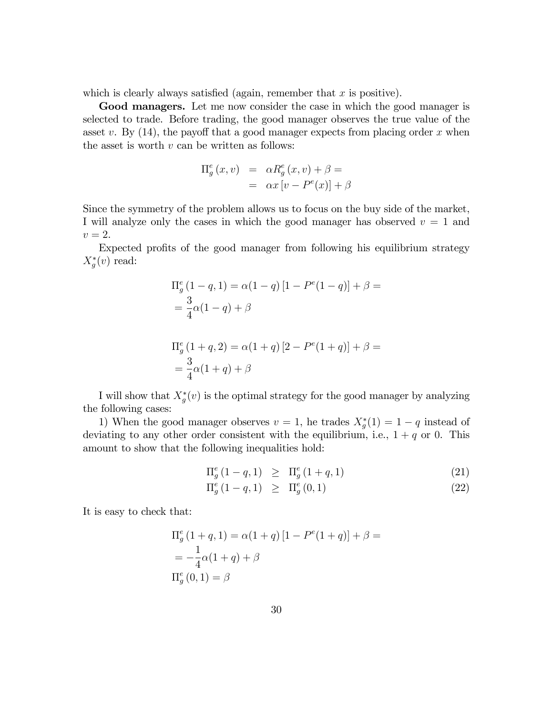which is clearly always satisfied (again, remember that  $x$  is positive).

Good managers. Let me now consider the case in which the good manager is selected to trade. Before trading, the good manager observes the true value of the asset v. By  $(14)$ , the payoff that a good manager expects from placing order x when the asset is worth  $v$  can be written as follows:

$$
\Pi_g^e(x, v) = \alpha R_g^e(x, v) + \beta =
$$
  
=  $\alpha x [v - P^e(x)] + \beta$ 

Since the symmetry of the problem allows us to focus on the buy side of the market, I will analyze only the cases in which the good manager has observed  $v = 1$  and  $v=2.$ 

Expected profits of the good manager from following his equilibrium strategy  $X_g^*(v)$  read:

$$
\Pi_g^e (1 - q, 1) = \alpha (1 - q) [1 - P^e (1 - q)] + \beta =
$$
  
=  $\frac{3}{4} \alpha (1 - q) + \beta$   

$$
\Pi_g^e (1 + q, 2) = \alpha (1 + q) [2 - P^e (1 + q)] + \beta =
$$
  
=  $\frac{3}{4} \alpha (1 + q) + \beta$ 

I will show that  $X_g^*(v)$  is the optimal strategy for the good manager by analyzing the following cases:

1) When the good manager observes  $v = 1$ , he trades  $X_g^*(1) = 1 - q$  instead of deviating to any other order consistent with the equilibrium, i.e.,  $1 + q$  or 0. This amount to show that the following inequalities hold:

$$
\Pi_g^e (1 - q, 1) \geq \Pi_g^e (1 + q, 1) \tag{21}
$$

$$
\Pi_g^e (1 - q, 1) \geq \Pi_g^e (0, 1) \tag{22}
$$

It is easy to check that:

$$
\Pi_g^e (1 + q, 1) = \alpha (1 + q) [1 - P^e (1 + q)] + \beta =
$$
  
=  $-\frac{1}{4} \alpha (1 + q) + \beta$   
 $\Pi_g^e (0, 1) = \beta$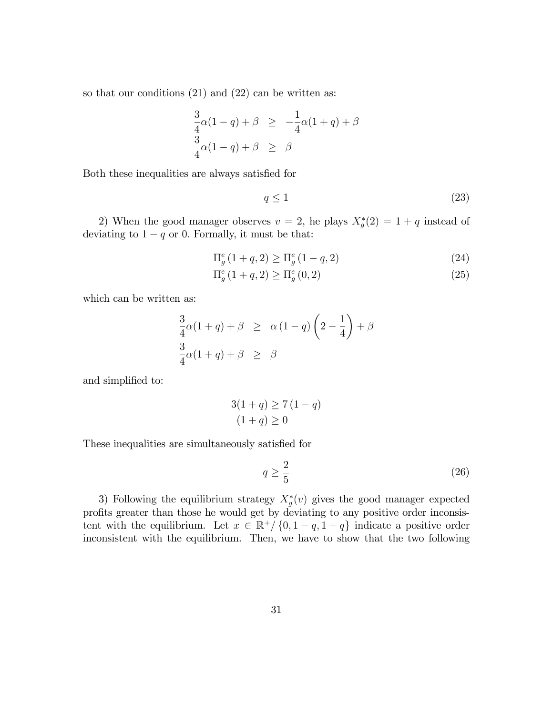so that our conditions (21) and (22) can be written as:

$$
\frac{3}{4}\alpha(1-q) + \beta \ge -\frac{1}{4}\alpha(1+q) + \beta
$$
  

$$
\frac{3}{4}\alpha(1-q) + \beta \ge \beta
$$

Both these inequalities are always satisfied for

$$
q \le 1\tag{23}
$$

2) When the good manager observes  $v = 2$ , he plays  $X_g^*(2) = 1 + q$  instead of deviating to  $1 - q$  or 0. Formally, it must be that:

$$
\Pi_g^e (1+q, 2) \ge \Pi_g^e (1-q, 2) \tag{24}
$$

$$
\Pi_g^e (1+q, 2) \ge \Pi_g^e (0, 2)
$$
\n(25)

which can be written as:

$$
\frac{3}{4}\alpha(1+q) + \beta \ge \alpha (1-q)\left(2-\frac{1}{4}\right) + \beta
$$
  

$$
\frac{3}{4}\alpha(1+q) + \beta \ge \beta
$$

and simplified to:

$$
3(1+q) \ge 7(1-q)
$$
  

$$
(1+q) \ge 0
$$

These inequalities are simultaneously satisfied for

$$
q \ge \frac{2}{5} \tag{26}
$$

3) Following the equilibrium strategy  $X_g^*(v)$  gives the good manager expected profits greater than those he would get by deviating to any positive order inconsistent with the equilibrium. Let  $x \in \mathbb{R}^+ / \{0, 1 - q, 1 + q\}$  indicate a positive order inconsistent with the equilibrium. Then, we have to show that the two following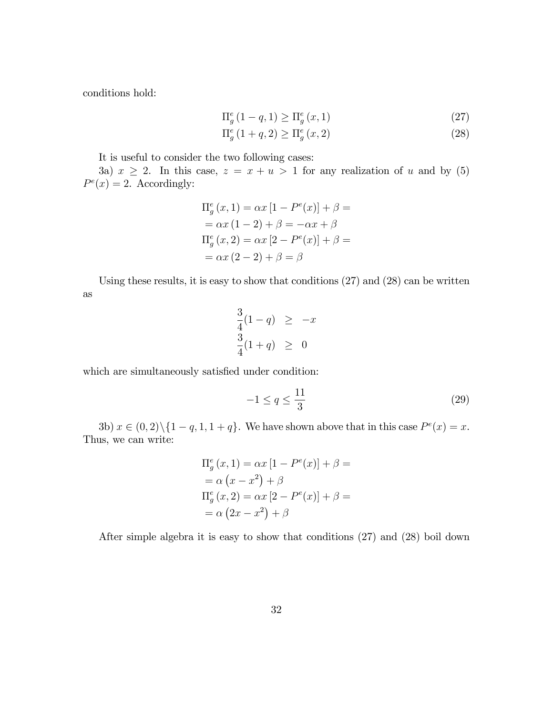conditions hold:

$$
\Pi_g^e \left( 1 - q, 1 \right) \ge \Pi_g^e \left( x, 1 \right) \tag{27}
$$

$$
\Pi_g^e (1+q, 2) \ge \Pi_g^e (x, 2)
$$
\n(28)

It is useful to consider the two following cases:

3a)  $x \ge 2$ . In this case,  $z = x + u > 1$  for any realization of u and by (5)  $P^e(x) = 2$ . Accordingly:

$$
\Pi_g^e(x, 1) = \alpha x [1 - P^e(x)] + \beta =
$$
  
=  $\alpha x (1 - 2) + \beta = -\alpha x + \beta$   

$$
\Pi_g^e(x, 2) = \alpha x [2 - P^e(x)] + \beta =
$$
  
=  $\alpha x (2 - 2) + \beta = \beta$ 

Using these results, it is easy to show that conditions (27) and (28) can be written as

$$
\frac{3}{4}(1-q) \geq -x
$$
  

$$
\frac{3}{4}(1+q) \geq 0
$$

which are simultaneously satisfied under condition:

$$
-1 \le q \le \frac{11}{3} \tag{29}
$$

3b)  $x \in (0, 2) \setminus \{1 - q, 1, 1 + q\}$ . We have shown above that in this case  $P^e(x) = x$ . Thus, we can write:

$$
\Pi_g^e(x, 1) = \alpha x [1 - P^e(x)] + \beta =
$$
  
=  $\alpha (x - x^2) + \beta$   

$$
\Pi_g^e(x, 2) = \alpha x [2 - P^e(x)] + \beta =
$$
  
=  $\alpha (2x - x^2) + \beta$ 

After simple algebra it is easy to show that conditions (27) and (28) boil down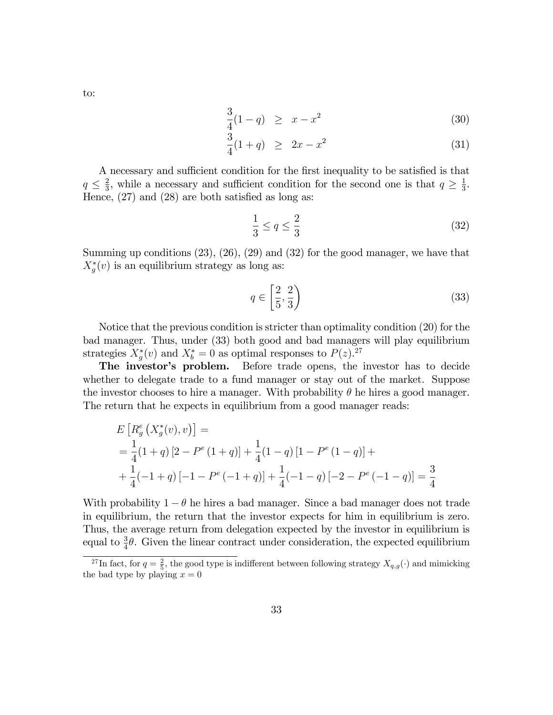to:

$$
\frac{3}{4}(1-q) \geq x - x^2 \tag{30}
$$

$$
\frac{3}{4}(1+q) \ge 2x - x^2 \tag{31}
$$

A necessary and sufficient condition for the first inequality to be satisfied is that  $q \leq \frac{2}{3}$  $\frac{2}{3}$ , while a necessary and sufficient condition for the second one is that  $q \geq \frac{1}{3}$  $\frac{1}{3}$ . Hence,  $(27)$  and  $(28)$  are both satisfied as long as:

$$
\frac{1}{3} \le q \le \frac{2}{3} \tag{32}
$$

Summing up conditions (23), (26), (29) and (32) for the good manager, we have that  $X_g^*(v)$  is an equilibrium strategy as long as:

$$
q \in \left[\frac{2}{5}, \frac{2}{3}\right) \tag{33}
$$

Notice that the previous condition is stricter than optimality condition (20) for the bad manager. Thus, under (33) both good and bad managers will play equilibrium strategies  $X_g^*(v)$  and  $X_b^* = 0$  as optimal responses to  $P(z)$ .<sup>27</sup>

The investor's problem. Before trade opens, the investor has to decide whether to delegate trade to a fund manager or stay out of the market. Suppose the investor chooses to hire a manager. With probability  $\theta$  he hires a good manager. The return that he expects in equilibrium from a good manager reads:

$$
E\left[R_g^e(X_g^*(v), v)\right] =
$$
  
=  $\frac{1}{4}(1+q)[2 - P^e(1+q)] + \frac{1}{4}(1-q)[1 - P^e(1-q)] +$   
+  $\frac{1}{4}(-1+q)[-1 - P^e(-1+q)] + \frac{1}{4}(-1-q)[-2 - P^e(-1-q)] = \frac{3}{4}$ 

With probability  $1 - \theta$  he hires a bad manager. Since a bad manager does not trade in equilibrium, the return that the investor expects for him in equilibrium is zero. Thus, the average return from delegation expected by the investor in equilibrium is equal to  $\frac{3}{4}\theta$ . Given the linear contract under consideration, the expected equilibrium

<sup>&</sup>lt;sup>27</sup>In fact, for  $q = \frac{2}{5}$ , the good type is indifferent between following strategy  $X_{q,g}(\cdot)$  and mimicking the bad type by playing  $x = 0$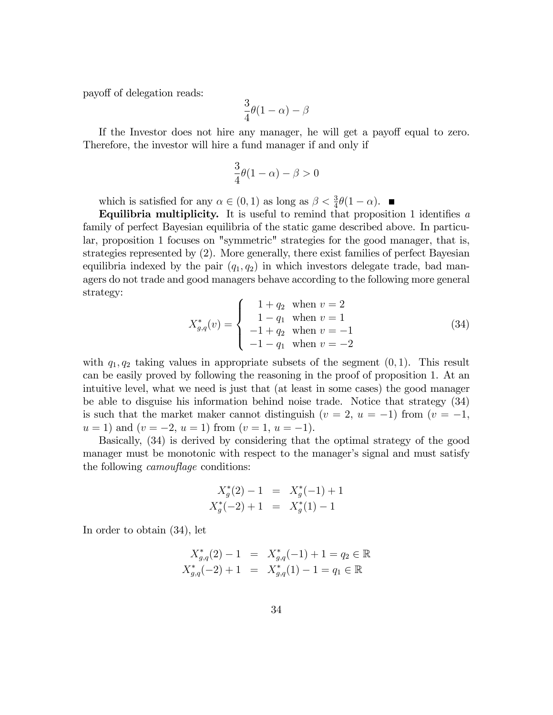payoff of delegation reads:

$$
\frac{3}{4}\theta(1-\alpha)-\beta
$$

If the Investor does not hire any manager, he will get a payoff equal to zero. Therefore, the investor will hire a fund manager if and only if

$$
\frac{3}{4}\theta(1-\alpha) - \beta > 0
$$

which is satisfied for any  $\alpha \in (0, 1)$  as long as  $\beta < \frac{3}{4}\theta(1 - \alpha)$ .

Equilibria multiplicity. It is useful to remind that proposition 1 identifies  $a$ family of perfect Bayesian equilibria of the static game described above. In particular, proposition 1 focuses on "symmetric" strategies for the good manager, that is, strategies represented by (2). More generally, there exist families of perfect Bayesian equilibria indexed by the pair  $(q_1, q_2)$  in which investors delegate trade, bad managers do not trade and good managers behave according to the following more general strategy:

$$
X_{g,q}^*(v) = \begin{cases} 1 + q_2 & \text{when } v = 2\\ 1 - q_1 & \text{when } v = 1\\ -1 + q_2 & \text{when } v = -1\\ -1 - q_1 & \text{when } v = -2 \end{cases}
$$
(34)

with  $q_1, q_2$  taking values in appropriate subsets of the segment  $(0, 1)$ . This result can be easily proved by following the reasoning in the proof of proposition 1. At an intuitive level, what we need is just that (at least in some cases) the good manager be able to disguise his information behind noise trade. Notice that strategy (34) is such that the market maker cannot distinguish  $(v = 2, u = -1)$  from  $(v = -1,$  $u = 1$ ) and  $(v = -2, u = 1)$  from  $(v = 1, u = -1)$ .

Basically, (34) is derived by considering that the optimal strategy of the good manager must be monotonic with respect to the manager's signal and must satisfy the following *camouflage* conditions:

$$
X_g^*(2) - 1 = X_g^*(-1) + 1
$$
  

$$
X_g^*(-2) + 1 = X_g^*(1) - 1
$$

In order to obtain (34), let

$$
X_{g,q}^*(2) - 1 = X_{g,q}^*(-1) + 1 = q_2 \in \mathbb{R}
$$
  

$$
X_{g,q}^*(-2) + 1 = X_{g,q}^*(1) - 1 = q_1 \in \mathbb{R}
$$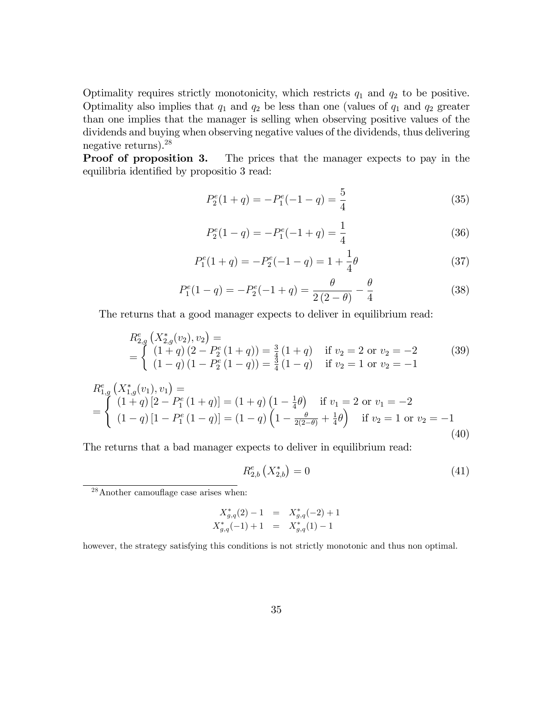Optimality requires strictly monotonicity, which restricts  $q_1$  and  $q_2$  to be positive. Optimality also implies that  $q_1$  and  $q_2$  be less than one (values of  $q_1$  and  $q_2$  greater than one implies that the manager is selling when observing positive values of the dividends and buying when observing negative values of the dividends, thus delivering negative returns).<sup>28</sup>

**Proof of proposition 3.** The prices that the manager expects to pay in the equilibria identified by propositio 3 read:

$$
P_2^e(1+q) = -P_1^e(-1-q) = \frac{5}{4}
$$
 (35)

$$
P_2^e(1-q) = -P_1^e(-1+q) = \frac{1}{4}
$$
\n(36)

$$
P_1^e(1+q) = -P_2^e(-1-q) = 1 + \frac{1}{4}\theta \tag{37}
$$

$$
P_1^e(1-q) = -P_2^e(-1+q) = \frac{\theta}{2(2-\theta)} - \frac{\theta}{4}
$$
 (38)

The returns that a good manager expects to deliver in equilibrium read:

$$
R_{2,g}^{e} (X_{2,g}^{*}(v_2), v_2) =
$$
  
= 
$$
\begin{cases} (1+q) (2-P_2^{e} (1+q)) = \frac{3}{4} (1+q) & \text{if } v_2 = 2 \text{ or } v_2 = -2 \\ (1-q) (1-P_2^{e} (1-q)) = \frac{3}{4} (1-q) & \text{if } v_2 = 1 \text{ or } v_2 = -1 \end{cases}
$$
 (39)

$$
R_{1,g}^{e} (X_{1,g}^{*}(v_1), v_1) =
$$
  
= 
$$
\begin{cases} (1+q) [2 - P_1^{e} (1+q)] = (1+q) (1 - \frac{1}{4}\theta) & \text{if } v_1 = 2 \text{ or } v_1 = -2\\ (1-q) [1 - P_1^{e} (1-q)] = (1-q) (1 - \frac{\theta}{2(2-\theta)} + \frac{1}{4}\theta) & \text{if } v_2 = 1 \text{ or } v_2 = -1 \end{cases}
$$
(40)

The returns that a bad manager expects to deliver in equilibrium read:

$$
R_{2,b}^{e}\left(X_{2,b}^{*}\right) = 0\tag{41}
$$

 $28$ Another camouflage case arises when:

$$
X_{g,q}^*(2)-1 = X_{g,q}^*(-2)+1
$$
  

$$
X_{g,q}^*(-1)+1 = X_{g,q}^*(1)-1
$$

however, the strategy satisfying this conditions is not strictly monotonic and thus non optimal.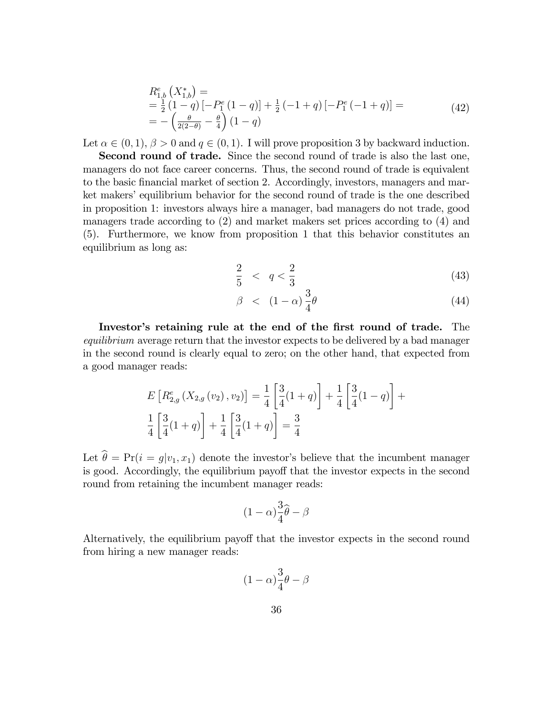$$
R_{1,b}^{e}(X_{1,b}^{*}) =
$$
  
=  $\frac{1}{2}$  (1 - q) [- $P_{1}^{e}$  (1 - q)] +  $\frac{1}{2}$  (-1 + q) [- $P_{1}^{e}$  (-1 + q)] =  
=  $-(\frac{\theta}{2(2-\theta)} - \frac{\theta}{4})(1-q)$  (42)

Let  $\alpha \in (0,1)$ ,  $\beta > 0$  and  $q \in (0,1)$ . I will prove proposition 3 by backward induction.

Second round of trade. Since the second round of trade is also the last one, managers do not face career concerns. Thus, the second round of trade is equivalent to the basic financial market of section 2. Accordingly, investors, managers and market makers' equilibrium behavior for the second round of trade is the one described in proposition 1: investors always hire a manager, bad managers do not trade, good managers trade according to (2) and market makers set prices according to (4) and (5). Furthermore, we know from proposition 1 that this behavior constitutes an equilibrium as long as:

$$
\frac{2}{5} < q < \frac{2}{3} \tag{43}
$$

$$
\beta \quad < \quad (1 - \alpha) \frac{3}{4} \theta \tag{44}
$$

Investor's retaining rule at the end of the first round of trade. The equilibrium average return that the investor expects to be delivered by a bad manager in the second round is clearly equal to zero; on the other hand, that expected from a good manager reads:

$$
E\left[R_{2,g}^{e}(X_{2,g}(v_2), v_2)\right] = \frac{1}{4} \left[\frac{3}{4}(1+q)\right] + \frac{1}{4} \left[\frac{3}{4}(1-q)\right] + \frac{1}{4} \left[\frac{3}{4}(1+q)\right] + \frac{1}{4} \left[\frac{3}{4}(1+q)\right] = \frac{3}{4}
$$

Let  $\hat{\theta} = Pr(i = q|v_1, x_1)$  denote the investor's believe that the incumbent manager is good. Accordingly, the equilibrium payoff that the investor expects in the second round from retaining the incumbent manager reads:

$$
(1-\alpha)\frac{3}{4}\widehat{\theta}-\beta
$$

Alternatively, the equilibrium payoff that the investor expects in the second round from hiring a new manager reads:

$$
(1-\alpha)\frac{3}{4}\theta-\beta
$$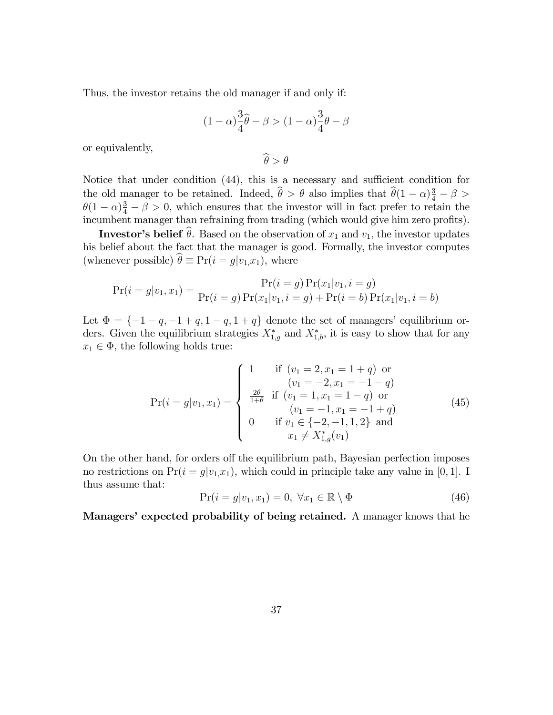Thus, the investor retains the old manager if and only if:

$$
(1 - \alpha)\frac{3}{4}\hat{\theta} - \beta > (1 - \alpha)\frac{3}{4}\theta - \beta
$$

or equivalently,

 $\widehat{\theta} > \theta$ 

Notice that under condition  $(44)$ , this is a necessary and sufficient condition for the old manager to be retained. Indeed,  $\hat{\theta} > \theta$  also implies that  $\hat{\theta}(1-\alpha)\frac{3}{4} - \beta >$  $\theta(1-\alpha)\frac{3}{4}-\beta>0$ , which ensures that the investor will in fact prefer to retain the incumbent manager than refraining from trading (which would give him zero profits).

**Investor's belief**  $\hat{\theta}$ . Based on the observation of  $x_1$  and  $v_1$ , the investor updates his belief about the fact that the manager is good. Formally, the investor computes (whenever possible)  $\hat{\theta} \equiv Pr(i = g|v_1,x_1)$ , where

$$
Pr(i = g | v_1, x_1) = \frac{Pr(i = g) Pr(x_1 | v_1, i = g)}{Pr(i = g) Pr(x_1 | v_1, i = g) + Pr(i = b) Pr(x_1 | v_1, i = b)}
$$

Let  $\Phi = \{-1 - q, -1 + q, 1 - q, 1 + q\}$  denote the set of managers' equilibrium orders. Given the equilibrium strategies  $X_{1,g}^*$  and  $X_{1,b}^*$ , it is easy to show that for any  $x_1 \in \Phi$ , the following holds true:

$$
\Pr(i = g|v_1, x_1) = \begin{cases}\n1 & \text{if } (v_1 = 2, x_1 = 1 + q) \text{ or } \\
(v_1 = -2, x_1 = -1 - q) \\
\frac{2\theta}{1 + \theta} & \text{if } (v_1 = 1, x_1 = 1 - q) \text{ or } \\
(v_1 = -1, x_1 = -1 + q) \\
0 & \text{if } v_1 \in \{-2, -1, 1, 2\} \text{ and } \\
x_1 \neq X_{1, g}^*(v_1)\n\end{cases}
$$
\n(45)

On the other hand, for orders off the equilibrium path, Bayesian perfection imposes no restrictions on  $Pr(i = g|v_1, x_1)$ , which could in principle take any value in [0, 1]. I thus assume that:

$$
Pr(i = g|v_1, x_1) = 0, \ \forall x_1 \in \mathbb{R} \setminus \Phi \tag{46}
$$

Managers' expected probability of being retained. A manager knows that he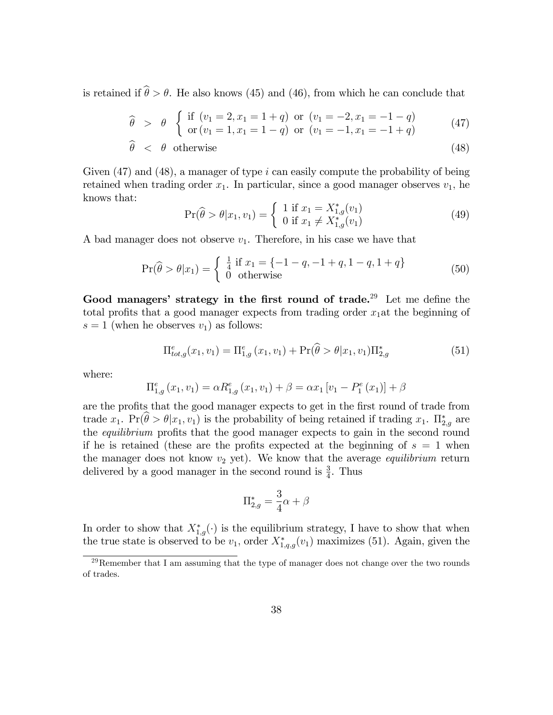is retained if  $\hat{\theta} > \theta$ . He also knows (45) and (46), from which he can conclude that

$$
\widehat{\theta} > \theta \begin{cases} \text{if } (v_1 = 2, x_1 = 1 + q) \text{ or } (v_1 = -2, x_1 = -1 - q) \\ \text{or } (v_1 = 1, x_1 = 1 - q) \text{ or } (v_1 = -1, x_1 = -1 + q) \end{cases}
$$
(47)

$$
\widehat{\theta} \quad < \quad \theta \quad \text{otherwise} \tag{48}
$$

Given  $(47)$  and  $(48)$ , a manager of type i can easily compute the probability of being retained when trading order  $x_1$ . In particular, since a good manager observes  $v_1$ , he knows that:

$$
\Pr(\widehat{\theta} > \theta | x_1, v_1) = \begin{cases} 1 & \text{if } x_1 = X_{1,g}^*(v_1) \\ 0 & \text{if } x_1 \neq X_{1,g}^*(v_1) \end{cases}
$$
(49)

A bad manager does not observe  $v_1$ . Therefore, in his case we have that

$$
\Pr(\widehat{\theta} > \theta | x_1) = \begin{cases} \frac{1}{4} & \text{if } x_1 = \{-1 - q, -1 + q, 1 - q, 1 + q\} \\ 0 & \text{otherwise} \end{cases}
$$
(50)

Good managers' strategy in the first round of trade.<sup>29</sup> Let me define the total profits that a good manager expects from trading order  $x_1$ at the beginning of  $s = 1$  (when he observes  $v_1$ ) as follows:

$$
\Pi_{tot,g}^{e}(x_1, v_1) = \Pi_{1,g}^{e}(x_1, v_1) + \Pr(\widehat{\theta} > \theta | x_1, v_1) \Pi_{2,g}^{*}
$$
\n(51)

where:

$$
\Pi_{1,g}^{e}(x_1, v_1) = \alpha R_{1,g}^{e}(x_1, v_1) + \beta = \alpha x_1 [v_1 - P_1^{e}(x_1)] + \beta
$$

are the profits that the good manager expects to get in the first round of trade from trade  $x_1$ .  $Pr(\theta > \theta | x_1, v_1)$  is the probability of being retained if trading  $x_1$ .  $\prod_{2,g}^*$  are the *equilibrium* profits that the good manager expects to gain in the second round if he is retained (these are the profits expected at the beginning of  $s = 1$  when the manager does not know  $v_2$  yet). We know that the average *equilibrium* return delivered by a good manager in the second round is  $\frac{3}{4}$ . Thus

$$
\Pi_{2,g}^* = \frac{3}{4}\alpha + \beta
$$

In order to show that  $X_{1,g}^*(\cdot)$  is the equilibrium strategy, I have to show that when the true state is observed to be  $v_1$ , order  $X_{1,q,g}^*(v_1)$  maximizes (51). Again, given the

<sup>&</sup>lt;sup>29</sup>Remember that I am assuming that the type of manager does not change over the two rounds of trades.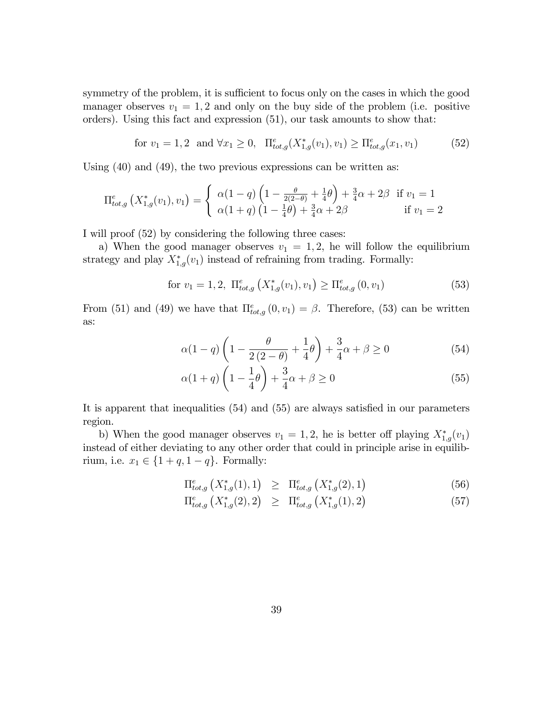symmetry of the problem, it is sufficient to focus only on the cases in which the good manager observes  $v_1 = 1, 2$  and only on the buy side of the problem (i.e. positive orders). Using this fact and expression (51), our task amounts to show that:

for 
$$
v_1 = 1, 2
$$
 and  $\forall x_1 \ge 0$ ,  $\Pi_{tot,g}^e(X_{1,g}^*(v_1), v_1) \ge \Pi_{tot,g}^e(x_1, v_1)$  (52)

Using (40) and (49), the two previous expressions can be written as:

$$
\Pi_{tot,g}^{e}(X_{1,g}^{*}(v_{1}), v_{1}) = \begin{cases} \alpha(1-q)\left(1-\frac{\theta}{2(2-\theta)}+\frac{1}{4}\theta\right)+\frac{3}{4}\alpha+2\beta & \text{if } v_{1} = 1\\ \alpha(1+q)\left(1-\frac{1}{4}\theta\right)+\frac{3}{4}\alpha+2\beta & \text{if } v_{1} = 2 \end{cases}
$$

I will proof (52) by considering the following three cases:

a) When the good manager observes  $v_1 = 1, 2$ , he will follow the equilibrium strategy and play  $X_{1,g}^*(v_1)$  instead of refraining from trading. Formally:

for 
$$
v_1 = 1, 2, \ \Pi_{tot,g}^e(X_{1,g}^*(v_1), v_1) \ge \Pi_{tot,g}^e(0, v_1)
$$
 (53)

From (51) and (49) we have that  $\Pi_{tot,g}^e(0, v_1) = \beta$ . Therefore, (53) can be written as:

$$
\alpha(1-q)\left(1-\frac{\theta}{2(2-\theta)}+\frac{1}{4}\theta\right)+\frac{3}{4}\alpha+\beta\geq 0\tag{54}
$$

$$
\alpha(1+q)\left(1-\frac{1}{4}\theta\right) + \frac{3}{4}\alpha + \beta \ge 0\tag{55}
$$

It is apparent that inequalities  $(54)$  and  $(55)$  are always satisfied in our parameters region.

b) When the good manager observes  $v_1 = 1, 2$ , he is better off playing  $X_{1,g}^*(v_1)$ instead of either deviating to any other order that could in principle arise in equilibrium, i.e.  $x_1 \in \{1 + q, 1 - q\}$ . Formally:

$$
\Pi_{tot,g}^{e}\left(X_{1,g}^{*}(1),1\right) \geq \Pi_{tot,g}^{e}\left(X_{1,g}^{*}(2),1\right) \tag{56}
$$

$$
\Pi_{tot,g}^{e}\left(X_{1,g}^{*}(2),2\right) \geq \Pi_{tot,g}^{e}\left(X_{1,g}^{*}(1),2\right) \tag{57}
$$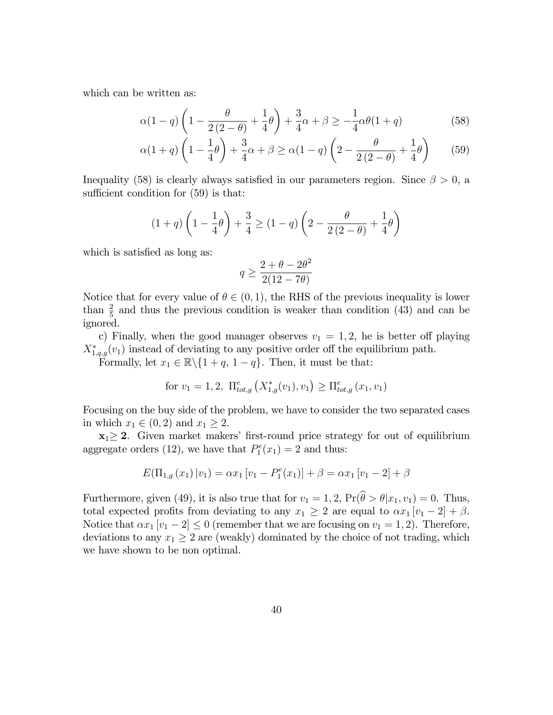which can be written as:

$$
\alpha(1-q)\left(1-\frac{\theta}{2(2-\theta)}+\frac{1}{4}\theta\right)+\frac{3}{4}\alpha+\beta\geq -\frac{1}{4}\alpha\theta(1+q)
$$
\n(58)

$$
\alpha(1+q)\left(1-\frac{1}{4}\theta\right)+\frac{3}{4}\alpha+\beta\ge\alpha(1-q)\left(2-\frac{\theta}{2(2-\theta)}+\frac{1}{4}\theta\right)\tag{59}
$$

Inequality (58) is clearly always satisfied in our parameters region. Since  $\beta > 0$ , a sufficient condition for  $(59)$  is that:

$$
(1+q)\left(1-\frac{1}{4}\theta\right) + \frac{3}{4} \ge (1-q)\left(2-\frac{\theta}{2(2-\theta)}+\frac{1}{4}\theta\right)
$$

which is satisfied as long as:

$$
q \ge \frac{2 + \theta - 2\theta^2}{2(12 - 7\theta)}
$$

Notice that for every value of  $\theta \in (0,1)$ , the RHS of the previous inequality is lower than  $\frac{2}{5}$  and thus the previous condition is weaker than condition (43) and can be ignored.

c) Finally, when the good manager observes  $v_1 = 1, 2$ , he is better off playing  $X_{1,q,g}^*(v_1)$  instead of deviating to any positive order off the equilibrium path.

Formally, let  $x_1 \in \mathbb{R} \setminus \{1 + q, 1 - q\}$ . Then, it must be that:

for 
$$
v_1 = 1, 2
$$
,  $\Pi_{tot,g}^e(X_{1,g}^*(v_1), v_1) \ge \Pi_{tot,g}^e(x_1, v_1)$ 

Focusing on the buy side of the problem, we have to consider the two separated cases in which  $x_1 \in (0, 2)$  and  $x_1 \geq 2$ .

 $x_1 \geq 2$ . Given market makers' first-round price strategy for out of equilibrium aggregate orders (12), we have that  $P_1^e(x_1) = 2$  and thus:

$$
E(\Pi_{1,g}(x_1)|v_1) = \alpha x_1 [v_1 - P_1^e(x_1)] + \beta = \alpha x_1 [v_1 - 2] + \beta
$$

Furthermore, given (49), it is also true that for  $v_1 = 1, 2, \Pr(\widehat{\theta} > \theta | x_1, v_1) = 0$ . Thus, total expected profits from deviating to any  $x_1 \geq 2$  are equal to  $\alpha x_1 [v_1 - 2] + \beta$ . Notice that  $\alpha x_1$   $[v_1 - 2] \leq 0$  (remember that we are focusing on  $v_1 = 1, 2$ ). Therefore, deviations to any  $x_1 \geq 2$  are (weakly) dominated by the choice of not trading, which we have shown to be non optimal.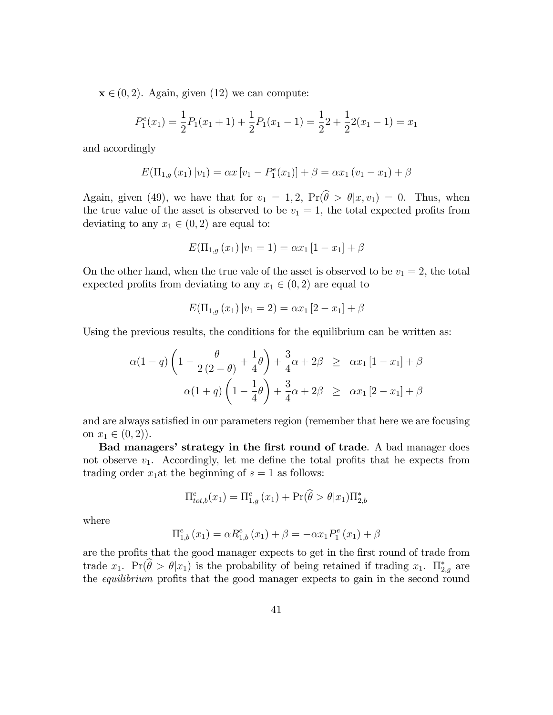$\mathbf{x} \in (0, 2)$ . Again, given (12) we can compute:

$$
P_1^e(x_1) = \frac{1}{2}P_1(x_1 + 1) + \frac{1}{2}P_1(x_1 - 1) = \frac{1}{2}2 + \frac{1}{2}2(x_1 - 1) = x_1
$$

and accordingly

$$
E(\Pi_{1,g}(x_1)|v_1) = \alpha x [v_1 - P_1^e(x_1)] + \beta = \alpha x_1 (v_1 - x_1) + \beta
$$

Again, given (49), we have that for  $v_1 = 1, 2$ ,  $Pr(\hat{\theta} > \theta | x, v_1) = 0$ . Thus, when the true value of the asset is observed to be  $v_1 = 1$ , the total expected profits from deviating to any  $x_1 \in (0, 2)$  are equal to:

$$
E(\Pi_{1,g}(x_1)|v_1=1) = \alpha x_1 [1 - x_1] + \beta
$$

On the other hand, when the true vale of the asset is observed to be  $v_1 = 2$ , the total expected profits from deviating to any  $x_1 \in (0, 2)$  are equal to

$$
E(\Pi_{1,g}(x_1)|v_1=2) = \alpha x_1 [2 - x_1] + \beta
$$

Using the previous results, the conditions for the equilibrium can be written as:

$$
\alpha(1-q)\left(1-\frac{\theta}{2(2-\theta)}+\frac{1}{4}\theta\right)+\frac{3}{4}\alpha+2\beta \geq \alpha x_1\left[1-x_1\right]+\beta
$$
  

$$
\alpha(1+q)\left(1-\frac{1}{4}\theta\right)+\frac{3}{4}\alpha+2\beta \geq \alpha x_1\left[2-x_1\right]+\beta
$$

and are always satisfied in our parameters region (remember that here we are focusing on  $x_1 \in (0, 2)$ .

Bad managers' strategy in the first round of trade. A bad manager does not observe  $v_1$ . Accordingly, let me define the total profits that he expects from trading order  $x_1$  at the beginning of  $s = 1$  as follows:

$$
\Pi_{tot,b}^{e}(x_1) = \Pi_{1,g}^{e}(x_1) + \Pr(\widehat{\theta} > \theta | x_1) \Pi_{2,b}^{*}
$$

where

$$
\Pi_{1,b}^{e}(x_1) = \alpha R_{1,b}^{e}(x_1) + \beta = -\alpha x_1 P_1^{e}(x_1) + \beta
$$

are the profits that the good manager expects to get in the first round of trade from trade  $x_1$ .  $Pr(\theta > \theta | x_1)$  is the probability of being retained if trading  $x_1$ .  $\Pi_{2,g}^*$  are the equilibrium profits that the good manager expects to gain in the second round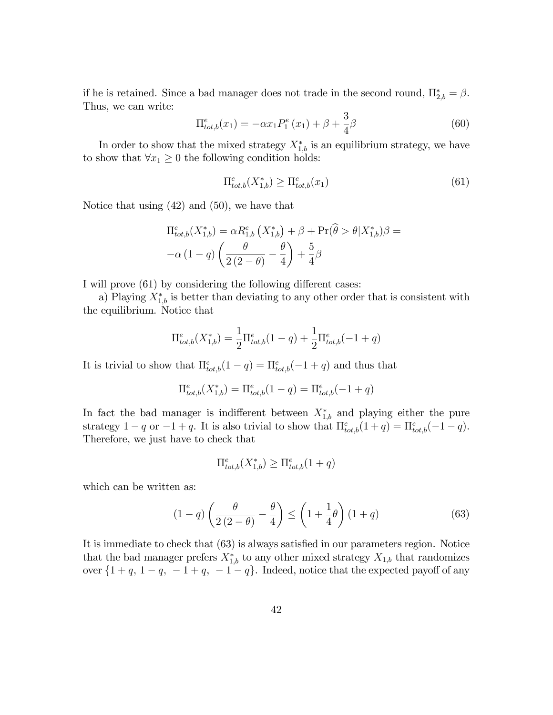if he is retained. Since a bad manager does not trade in the second round,  $\Pi_{2,b}^* = \beta$ . Thus, we can write:

$$
\Pi_{tot,b}^{e}(x_1) = -\alpha x_1 P_1^{e}(x_1) + \beta + \frac{3}{4}\beta \tag{60}
$$

In order to show that the mixed strategy  $X_{1,b}^*$  is an equilibrium strategy, we have to show that  $\forall x_1 \geq 0$  the following condition holds:

$$
\Pi_{tot,b}^{e}(X_{1,b}^{*}) \ge \Pi_{tot,b}^{e}(x_{1})
$$
\n(61)

Notice that using (42) and (50), we have that

$$
\Pi_{tot,b}^{e}(X_{1,b}^{*}) = \alpha R_{1,b}^{e}(X_{1,b}^{*}) + \beta + \Pr(\widehat{\theta} > \theta | X_{1,b}^{*})\beta = -\alpha (1-q) \left(\frac{\theta}{2(2-\theta)} - \frac{\theta}{4}\right) + \frac{5}{4}\beta
$$

I will prove (61) by considering the following different cases:

a) Playing  $X_{1,b}^*$  is better than deviating to any other order that is consistent with the equilibrium. Notice that

$$
\Pi_{tot,b}^{e}(X_{1,b}^{*}) = \frac{1}{2}\Pi_{tot,b}^{e}(1-q) + \frac{1}{2}\Pi_{tot,b}^{e}(-1+q)
$$

It is trivial to show that  $\Pi_{tot,b}^e(1-q) = \Pi_{tot,b}^e(-1+q)$  and thus that

$$
\Pi_{tot,b}^{e}(X_{1,b}^{*}) = \Pi_{tot,b}^{e}(1-q) = \Pi_{tot,b}^{e}(-1+q)
$$

In fact the bad manager is indifferent between  $X_{1,b}^*$  and playing either the pure strategy  $1 - q$  or  $-1 + q$ . It is also trivial to show that  $\prod_{tot,b}^{e}(1 + q) = \prod_{tot,b}^{e}(-1 - q)$ . Therefore, we just have to check that

$$
\Pi^e_{tot,b}(X^*_{1,b})\geq \Pi^e_{tot,b}(1+q)
$$

which can be written as:

$$
(1-q)\left(\frac{\theta}{2(2-\theta)} - \frac{\theta}{4}\right) \le \left(1 + \frac{1}{4}\theta\right)(1+q) \tag{63}
$$

It is immediate to check that  $(63)$  is always satisfied in our parameters region. Notice that the bad manager prefers  $X_{1,b}^*$  to any other mixed strategy  $X_{1,b}$  that randomizes over  $\{1+q, 1-q, -1+q, -1-q\}$ . Indeed, notice that the expected payoff of any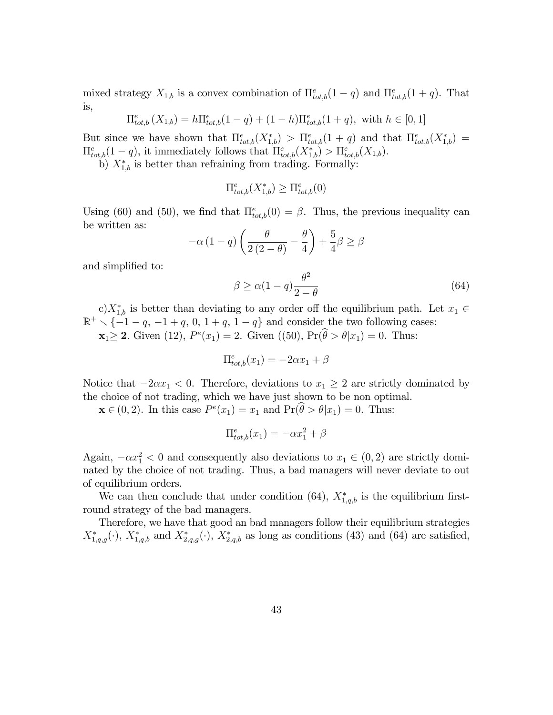mixed strategy  $X_{1,b}$  is a convex combination of  $\prod_{tot,b}^{e}(1-q)$  and  $\prod_{tot,b}^{e}(1+q)$ . That is,

$$
\Pi_{tot,b}^{e}(X_{1,b}) = h \Pi_{tot,b}^{e}(1-q) + (1-h) \Pi_{tot,b}^{e}(1+q), \text{ with } h \in [0,1]
$$

But since we have shown that  $\Pi_{tot,b}^e(X_{1,b}^*) > \Pi_{tot,b}^e(1+q)$  and that  $\Pi_{tot,b}^e(X_{1,b}^*) =$  $\Pi_{tot,b}^{e}(1-q)$ , it immediately follows that  $\Pi_{tot,b}^{e}(X_{1,b}^{*}) > \Pi_{tot,b}^{e}(X_{1,b})$ .

b)  $X_{1,b}^*$  is better than refraining from trading. Formally:

$$
\Pi_{tot,b}^e(X_{1,b}^*) \ge \Pi_{tot,b}^e(0)
$$

Using (60) and (50), we find that  $\Pi_{tot,b}^e(0) = \beta$ . Thus, the previous inequality can be written as:

$$
-\alpha (1-q) \left( \frac{\theta}{2(2-\theta)} - \frac{\theta}{4} \right) + \frac{5}{4} \beta \ge \beta
$$

and simplified to:

$$
\beta \ge \alpha (1 - q) \frac{\theta^2}{2 - \theta} \tag{64}
$$

c) $X_{1,b}^*$  is better than deviating to any order off the equilibrium path. Let  $x_1 \in$  $\mathbb{R}^+$   $\setminus$  {-1 - q, -1 + q, 0, 1 + q, 1 - q} and consider the two following cases:  $\mathbf{x}_1 \geq 2$ . Given (12),  $P^e(x_1) = 2$ . Given ((50),  $\Pr(\hat{\theta} > \theta | x_1) = 0$ . Thus:

$$
\Pi_{tot,b}^{e}(x_1) = -2\alpha x_1 + \beta
$$

Notice that  $-2\alpha x_1 < 0$ . Therefore, deviations to  $x_1 \geq 2$  are strictly dominated by the choice of not trading, which we have just shown to be non optimal.

 $\mathbf{x} \in (0, 2)$ . In this case  $P^e(x_1) = x_1$  and  $\Pr(\hat{\theta} > \theta | x_1) = 0$ . Thus:

$$
\Pi_{tot,b}^e(x_1) = -\alpha x_1^2 + \beta
$$

Again,  $-\alpha x_1^2 < 0$  and consequently also deviations to  $x_1 \in (0, 2)$  are strictly dominated by the choice of not trading. Thus, a bad managers will never deviate to out of equilibrium orders.

We can then conclude that under condition (64),  $X_{1,q,b}^*$  is the equilibrium firstround strategy of the bad managers.

Therefore, we have that good an bad managers follow their equilibrium strategies  $X_{1,q,g}^*(\cdot)$ ,  $X_{1,q,b}^*$  and  $X_{2,q,g}^*(\cdot)$ ,  $X_{2,q,b}^*$  as long as conditions (43) and (64) are satisfied,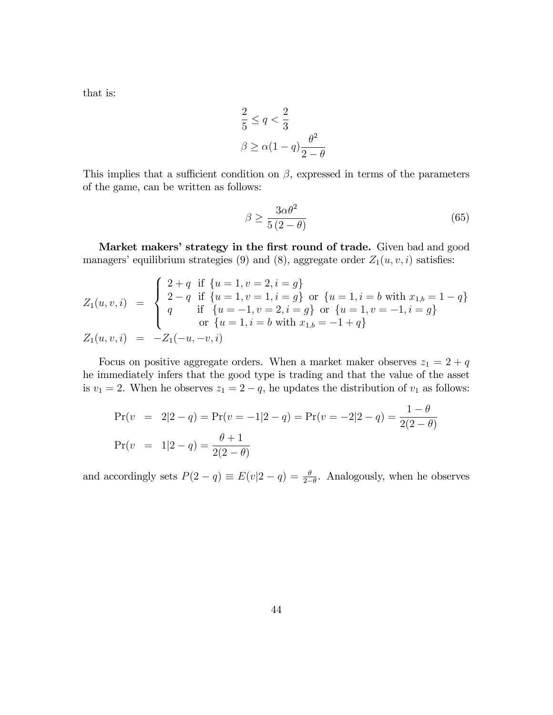that is:

$$
\frac{2}{5} \le q < \frac{2}{3}
$$
\n
$$
\beta \ge \alpha(1-q)\frac{\theta^2}{2-\theta}
$$

This implies that a sufficient condition on  $\beta$ , expressed in terms of the parameters of the game, can be written as follows:

$$
\beta \ge \frac{3\alpha\theta^2}{5(2-\theta)}\tag{65}
$$

Market makers' strategy in the first round of trade. Given bad and good managers' equilibrium strategies (9) and (8), aggregate order  $Z_1(u, v, i)$  satisfies:

$$
Z_1(u, v, i) = \begin{cases} 2+q \text{ if } \{u=1, v=2, i=g\} \\ 2-q \text{ if } \{u=1, v=1, i=g\} \text{ or } \{u=1, i=b \text{ with } x_{1,b}=1-q\} \\ q \text{ if } \{u=-1, v=2, i=g\} \text{ or } \{u=1, v=-1, i=g\} \\ \text{or } \{u=1, i=b \text{ with } x_{1,b}=-1+q\} \end{cases}
$$
  

$$
Z_1(u, v, i) = -Z_1(-u, -v, i)
$$

Focus on positive aggregate orders. When a market maker observes  $z_1 = 2 + q$ he immediately infers that the good type is trading and that the value of the asset is  $v_1 = 2$ . When he observes  $z_1 = 2 - q$ , he updates the distribution of  $v_1$  as follows:

$$
Pr(v = 2|2-q) = Pr(v = -1|2-q) = Pr(v = -2|2-q) = \frac{1-\theta}{2(2-\theta)}
$$

$$
Pr(v = 1|2-q) = \frac{\theta+1}{2(2-\theta)}
$$

and accordingly sets  $P(2 - q) \equiv E(v|2 - q) = \frac{\theta}{2-\theta}$ . Analogously, when he observes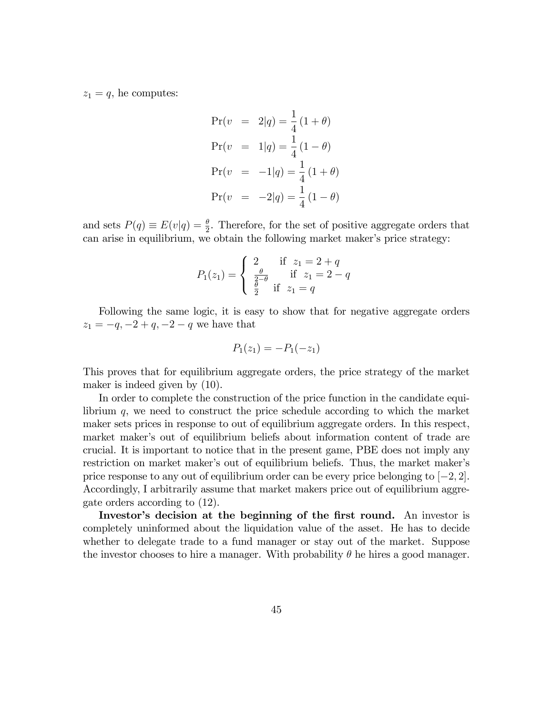$z_1 = q$ , he computes:

$$
Pr(v = 2|q) = \frac{1}{4}(1+\theta)
$$
  
\n
$$
Pr(v = 1|q) = \frac{1}{4}(1-\theta)
$$
  
\n
$$
Pr(v = -1|q) = \frac{1}{4}(1+\theta)
$$
  
\n
$$
Pr(v = -2|q) = \frac{1}{4}(1-\theta)
$$

and sets  $P(q) \equiv E(v|q) = \frac{\theta}{2}$ . Therefore, for the set of positive aggregate orders that can arise in equilibrium, we obtain the following market maker's price strategy:

$$
P_1(z_1) = \begin{cases} 2 & \text{if } z_1 = 2 + q \\ \frac{\theta}{2 - \theta} & \text{if } z_1 = 2 - q \\ \frac{\theta}{2} & \text{if } z_1 = q \end{cases}
$$

Following the same logic, it is easy to show that for negative aggregate orders  $z_1 = -q, -2 + q, -2 - q$  we have that

$$
P_1(z_1) = -P_1(-z_1)
$$

This proves that for equilibrium aggregate orders, the price strategy of the market maker is indeed given by (10).

In order to complete the construction of the price function in the candidate equilibrium  $q$ , we need to construct the price schedule according to which the market maker sets prices in response to out of equilibrium aggregate orders. In this respect, market maker's out of equilibrium beliefs about information content of trade are crucial. It is important to notice that in the present game, PBE does not imply any restriction on market maker's out of equilibrium beliefs. Thus, the market maker's price response to any out of equilibrium order can be every price belonging to  $[-2, 2]$ . Accordingly, I arbitrarily assume that market makers price out of equilibrium aggregate orders according to (12).

Investor's decision at the beginning of the first round. An investor is completely uninformed about the liquidation value of the asset. He has to decide whether to delegate trade to a fund manager or stay out of the market. Suppose the investor chooses to hire a manager. With probability  $\theta$  he hires a good manager.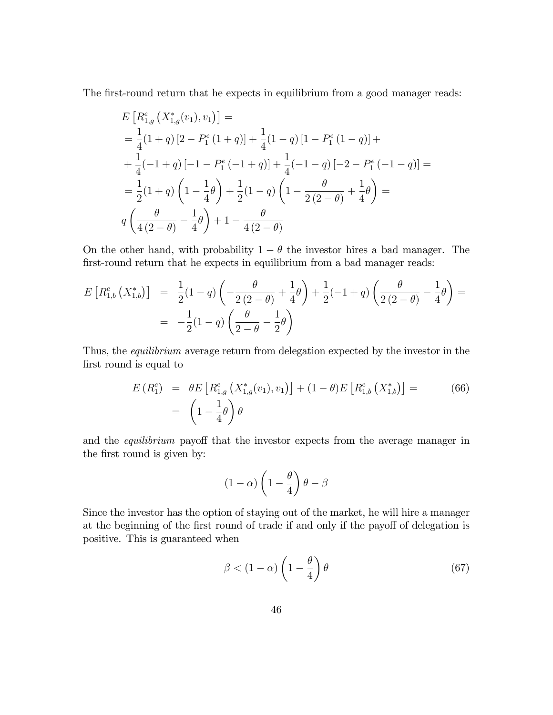The first-round return that he expects in equilibrium from a good manager reads:

$$
E\left[R_{1,g}^{e}\left(X_{1,g}^{*}(v_{1}), v_{1}\right)\right] =
$$
\n
$$
= \frac{1}{4}(1+q)\left[2 - P_{1}^{e}\left(1+q\right)\right] + \frac{1}{4}(1-q)\left[1 - P_{1}^{e}\left(1-q\right)\right] +
$$
\n
$$
+ \frac{1}{4}(-1+q)\left[-1 - P_{1}^{e}\left(-1+q\right)\right] + \frac{1}{4}(-1-q)\left[-2 - P_{1}^{e}\left(-1-q\right)\right] =
$$
\n
$$
= \frac{1}{2}(1+q)\left(1 - \frac{1}{4}\theta\right) + \frac{1}{2}(1-q)\left(1 - \frac{\theta}{2(2-\theta)} + \frac{1}{4}\theta\right) =
$$
\n
$$
q\left(\frac{\theta}{4(2-\theta)} - \frac{1}{4}\theta\right) + 1 - \frac{\theta}{4(2-\theta)}
$$

On the other hand, with probability  $1 - \theta$  the investor hires a bad manager. The first-round return that he expects in equilibrium from a bad manager reads:

$$
E\left[R_{1,b}^{e}\left(X_{1,b}^{*}\right)\right] = \frac{1}{2}(1-q)\left(-\frac{\theta}{2(2-\theta)} + \frac{1}{4}\theta\right) + \frac{1}{2}(-1+q)\left(\frac{\theta}{2(2-\theta)} - \frac{1}{4}\theta\right) = -\frac{1}{2}(1-q)\left(\frac{\theta}{2-\theta} - \frac{1}{2}\theta\right)
$$

Thus, the *equilibrium* average return from delegation expected by the investor in the first round is equal to

$$
E(R_1^e) = \theta E [R_{1,g}^e(X_{1,g}^*(v_1), v_1)] + (1 - \theta)E [R_{1,b}^e(X_{1,b}^*)] =
$$
\n
$$
= \left(1 - \frac{1}{4}\theta\right)\theta
$$
\n(66)

and the *equilibrium* payoff that the investor expects from the average manager in the first round is given by:

$$
(1 - \alpha) \left(1 - \frac{\theta}{4}\right) \theta - \beta
$$

Since the investor has the option of staying out of the market, he will hire a manager at the beginning of the first round of trade if and only if the payoff of delegation is positive. This is guaranteed when

$$
\beta < (1 - \alpha) \left( 1 - \frac{\theta}{4} \right) \theta \tag{67}
$$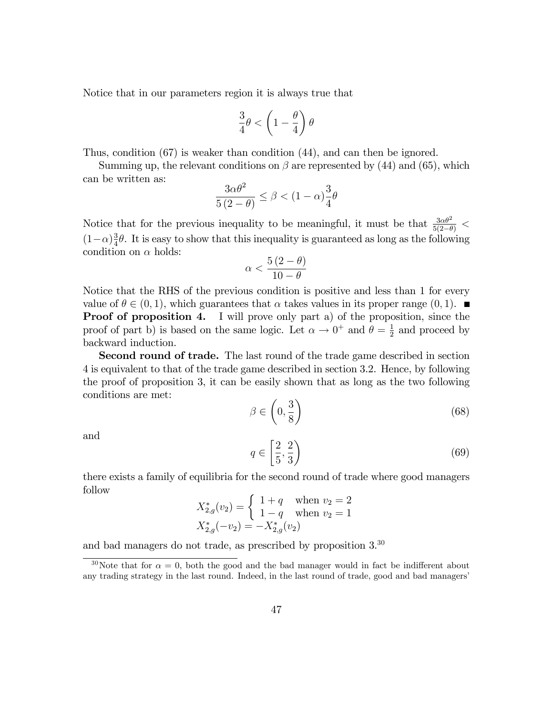Notice that in our parameters region it is always true that

$$
\frac{3}{4}\theta < \left(1-\frac{\theta}{4}\right)\theta
$$

Thus, condition (67) is weaker than condition (44), and can then be ignored.

Summing up, the relevant conditions on  $\beta$  are represented by (44) and (65), which can be written as:

$$
\frac{3\alpha\theta^2}{5(2-\theta)} \le \beta < (1-\alpha)\frac{3}{4}\theta
$$

Notice that for the previous inequality to be meaningful, it must be that  $\frac{3\alpha\theta^2}{5(2-\theta)}$  <  $(1-\alpha)\frac{3}{4}$  $\frac{3}{4}\theta$ . It is easy to show that this inequality is guaranteed as long as the following condition on  $\alpha$  holds:

$$
\alpha < \frac{5(2-\theta)}{10-\theta}
$$

Notice that the RHS of the previous condition is positive and less than 1 for every value of  $\theta \in (0, 1)$ , which guarantees that  $\alpha$  takes values in its proper range  $(0, 1)$ . Proof of proposition 4. I will prove only part a) of the proposition, since the proof of part b) is based on the same logic. Let  $\alpha \to 0^+$  and  $\theta = \frac{1}{2}$  $\frac{1}{2}$  and proceed by backward induction.

Second round of trade. The last round of the trade game described in section 4 is equivalent to that of the trade game described in section 3.2. Hence, by following the proof of proposition 3, it can be easily shown that as long as the two following conditions are met:

$$
\beta \in \left(0, \frac{3}{8}\right) \tag{68}
$$

and

$$
q \in \left[\frac{2}{5}, \frac{2}{3}\right) \tag{69}
$$

there exists a family of equilibria for the second round of trade where good managers follow

$$
X_{2,g}^*(v_2) = \begin{cases} 1+q & \text{when } v_2 = 2\\ 1-q & \text{when } v_2 = 1 \end{cases}
$$
  

$$
X_{2,g}^*(-v_2) = -X_{2,g}^*(v_2)
$$

and bad managers do not trade, as prescribed by proposition 3.<sup>30</sup>

<sup>&</sup>lt;sup>30</sup>Note that for  $\alpha = 0$ , both the good and the bad manager would in fact be indifferent about any trading strategy in the last round. Indeed, in the last round of trade, good and bad managers'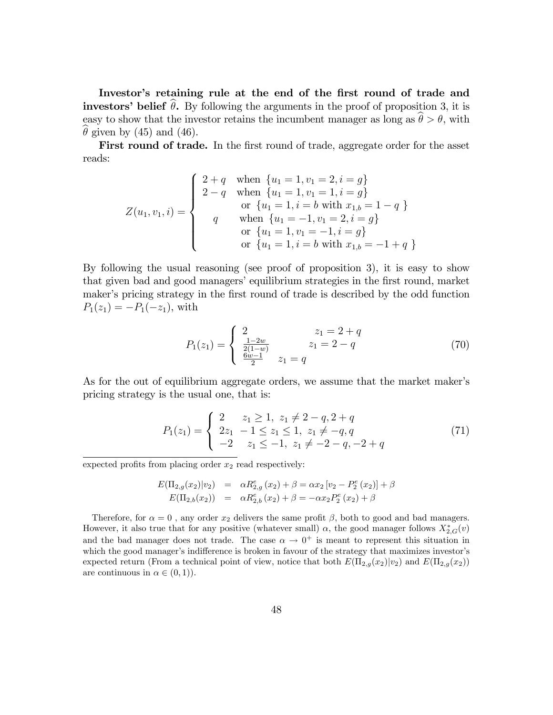Investor's retaining rule at the end of the first round of trade and investors' belief  $\theta$ . By following the arguments in the proof of proposition 3, it is easy to show that the investor retains the incumbent manager as long as  $\hat{\theta} > \theta$ , with  $\theta$  given by (45) and (46).

First round of trade. In the first round of trade, aggregate order for the asset reads:

$$
Z(u_1, v_1, i) = \begin{cases} 2+q & \text{when } \{u_1 = 1, v_1 = 2, i = g\} \\ 2-q & \text{when } \{u_1 = 1, v_1 = 1, i = g\} \\ & \text{or } \{u_1 = 1, i = b \text{ with } x_{1,b} = 1-q \} \\ q & \text{when } \{u_1 = -1, v_1 = 2, i = g\} \\ & \text{or } \{u_1 = 1, v_1 = -1, i = g\} \\ & \text{or } \{u_1 = 1, i = b \text{ with } x_{1,b} = -1+q \} \end{cases}
$$

By following the usual reasoning (see proof of proposition 3), it is easy to show that given bad and good managers' equilibrium strategies in the first round, market maker's pricing strategy in the first round of trade is described by the odd function  $P_1(z_1) = -P_1(-z_1)$ , with

$$
P_1(z_1) = \begin{cases} 2 & z_1 = 2 + q \\ \frac{1 - 2w}{2(1 - w)} & z_1 = 2 - q \\ \frac{6w - 1}{2} & z_1 = q \end{cases}
$$
(70)

As for the out of equilibrium aggregate orders, we assume that the market maker's pricing strategy is the usual one, that is:

$$
P_1(z_1) = \begin{cases} 2 & z_1 \ge 1, \ z_1 \ne 2 - q, 2 + q \\ 2z_1 & -1 \le z_1 \le 1, \ z_1 \ne -q, q \\ -2 & z_1 \le -1, \ z_1 \ne -2 - q, -2 + q \end{cases}
$$
(71)

expected profits from placing order  $x_2$  read respectively:

$$
E(\Pi_{2,g}(x_2)|v_2) = \alpha R_{2,g}^e(x_2) + \beta = \alpha x_2 [v_2 - P_2^e(x_2)] + \beta E(\Pi_{2,b}(x_2)) = \alpha R_{2,b}^e(x_2) + \beta = -\alpha x_2 P_2^e(x_2) + \beta
$$

Therefore, for  $\alpha = 0$ , any order  $x_2$  delivers the same profit  $\beta$ , both to good and bad managers. However, it also true that for any positive (whatever small)  $\alpha$ , the good manager follows  $X_{2,G}^*(v)$ and the bad manager does not trade. The case  $\alpha \to 0^+$  is meant to represent this situation in which the good manager's indifference is broken in favour of the strategy that maximizes investor's expected return (From a technical point of view, notice that both  $E(\Pi_{2,q}(x_2)|v_2)$  and  $E(\Pi_{2,q}(x_2))$ are continuous in  $\alpha \in (0, 1)$ .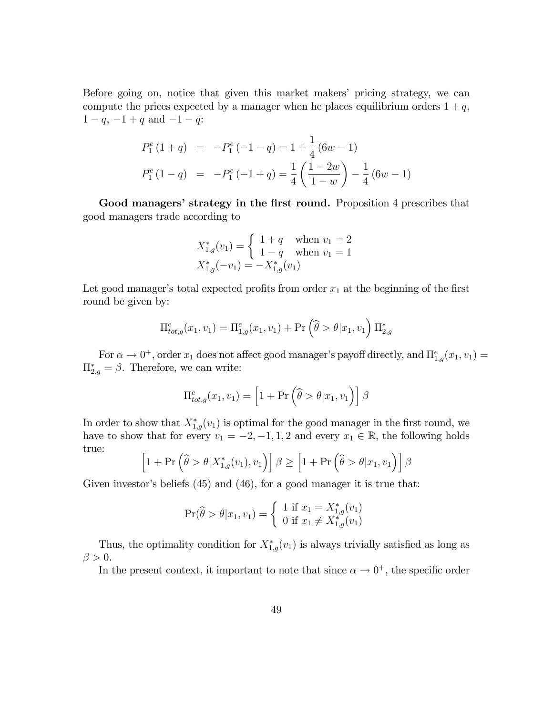Before going on, notice that given this market makers' pricing strategy, we can compute the prices expected by a manager when he places equilibrium orders  $1 + q$ ,  $1 - q$ ,  $-1 + q$  and  $-1 - q$ :

$$
P_1^e(1+q) = -P_1^e(-1-q) = 1 + \frac{1}{4}(6w - 1)
$$
  

$$
P_1^e(1-q) = -P_1^e(-1+q) = \frac{1}{4}\left(\frac{1-2w}{1-w}\right) - \frac{1}{4}(6w - 1)
$$

Good managers' strategy in the first round. Proposition 4 prescribes that good managers trade according to

$$
X_{1,g}^*(v_1) = \begin{cases} 1+q & \text{when } v_1 = 2\\ 1-q & \text{when } v_1 = 1 \end{cases}
$$
  

$$
X_{1,g}^*(-v_1) = -X_{1,g}^*(v_1)
$$

Let good manager's total expected profits from order  $x_1$  at the beginning of the first round be given by:

$$
\Pi_{tot,g}^{e}(x_1, v_1) = \Pi_{1,g}^{e}(x_1, v_1) + \Pr\left(\widehat{\theta} > \theta | x_1, v_1\right) \Pi_{2,g}^{*}
$$

For  $\alpha \to 0^+$ , order  $x_1$  does not affect good manager's payoff directly, and  $\Pi_{1,g}^e(x_1, v_1) =$  $\Pi_{2,g}^* = \beta$ . Therefore, we can write:

$$
\Pi_{tot,g}^{e}(x_1, v_1) = \left[1 + \Pr\left(\widehat{\theta} > \theta | x_1, v_1\right)\right] \beta
$$

In order to show that  $X_{1,g}^*(v_1)$  is optimal for the good manager in the first round, we have to show that for every  $v_1 = -2, -1, 1, 2$  and every  $x_1 \in \mathbb{R}$ , the following holds true:

$$
\left[1+\Pr\left(\widehat{\theta} > \theta | X_{1,g}^*(v_1), v_1\right)\right] \beta \ge \left[1+\Pr\left(\widehat{\theta} > \theta | x_1, v_1\right)\right] \beta
$$

Given investor's beliefs  $(45)$  and  $(46)$ , for a good manager it is true that:

$$
\Pr(\widehat{\theta} > \theta | x_1, v_1) = \begin{cases} 1 \text{ if } x_1 = X_{1,g}^*(v_1) \\ 0 \text{ if } x_1 \neq X_{1,g}^*(v_1) \end{cases}
$$

Thus, the optimality condition for  $X_{1,g}^*(v_1)$  is always trivially satisfied as long as  $\beta > 0$ .

In the present context, it important to note that since  $\alpha \to 0^+$ , the specific order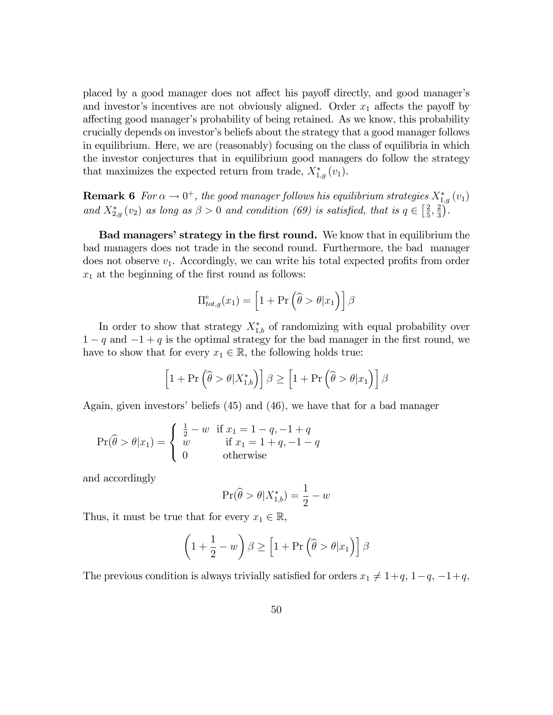placed by a good manager does not affect his payoff directly, and good manager's and investor's incentives are not obviously aligned. Order  $x_1$  affects the payoff by affecting good manager's probability of being retained. As we know, this probability crucially depends on investor's beliefs about the strategy that a good manager follows in equilibrium. Here, we are (reasonably) focusing on the class of equilibria in which the investor conjectures that in equilibrium good managers do follow the strategy that maximizes the expected return from trade,  $X_{1,g}^*(v_1)$ .

**Remark 6** For  $\alpha \to 0^+$ , the good manager follows his equilibrium strategies  $X^*_{1,g}(v_1)$ and  $X_{2,g}^*(v_2)$  as long as  $\beta > 0$  and condition (69) is satisfied, that is  $q \in \left[\frac{2}{5}\right]$  $\frac{2}{5}, \frac{2}{3}$  $\frac{2}{3}$ ).

Bad managers' strategy in the first round. We know that in equilibrium the bad managers does not trade in the second round. Furthermore, the bad manager does not observe  $v_1$ . Accordingly, we can write his total expected profits from order  $x_1$  at the beginning of the first round as follows:

$$
\Pi_{tot,g}^{e}(x_1) = \left[1 + \Pr\left(\widehat{\theta} > \theta | x_1\right)\right] \beta
$$

In order to show that strategy  $X_{1,b}^*$  of randomizing with equal probability over  $1 - q$  and  $-1 + q$  is the optimal strategy for the bad manager in the first round, we have to show that for every  $x_1 \in \mathbb{R}$ , the following holds true:

$$
\left[1 + \Pr\left(\widehat{\theta} > \theta | X_{1,b}^*\right)\right] \beta \ge \left[1 + \Pr\left(\widehat{\theta} > \theta | x_1\right)\right] \beta
$$

Again, given investors' beliefs  $(45)$  and  $(46)$ , we have that for a bad manager

$$
\Pr(\widehat{\theta} > \theta | x_1) = \begin{cases} \frac{1}{2} - w & \text{if } x_1 = 1 - q, -1 + q \\ w & \text{if } x_1 = 1 + q, -1 - q \\ 0 & \text{otherwise} \end{cases}
$$

and accordingly

$$
\Pr(\widehat{\theta} > \theta | X_{1,b}^*) = \frac{1}{2} - w
$$

Thus, it must be true that for every  $x_1 \in \mathbb{R}$ ,

$$
\left(1 + \frac{1}{2} - w\right)\beta \ge \left[1 + \Pr\left(\widehat{\theta} > \theta | x_1\right)\right]\beta
$$

The previous condition is always trivially satisfied for orders  $x_1 \neq 1+q$ ,  $1-q$ ,  $-1+q$ ,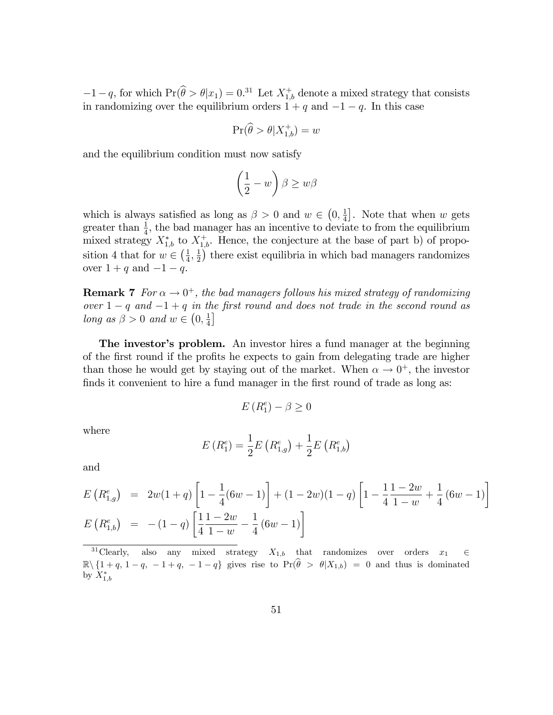$-1-q$ , for which  $Pr(\widehat{\theta} > \theta | x_1) = 0.31$  Let  $X_{1,b}^+$  denote a mixed strategy that consists in randomizing over the equilibrium orders  $1 + q$  and  $-1 - q$ . In this case

$$
\Pr(\widehat{\theta} > \theta | X_{1,b}^+) = w
$$

and the equilibrium condition must now satisfy

$$
\left(\frac{1}{2} - w\right)\beta \ge w\beta
$$

which is always satisfied as long as  $\beta > 0$  and  $w \in (0, \frac{1}{4})$  $\frac{1}{4}$ . Note that when w gets greater than  $\frac{1}{4}$ , the bad manager has an incentive to deviate to from the equilibrium mixed strategy  $X_{1,b}^*$  to  $X_{1,b}^+$ . Hence, the conjecture at the base of part b) of proposition 4 that for  $w \in \left(\frac{1}{4}\right)$  $\frac{1}{4}, \frac{1}{2}$  $\frac{1}{2}$ ) there exist equilibria in which bad managers randomizes over  $1 + q$  and  $-1 - q$ .

**Remark 7** For  $\alpha \to 0^+$ , the bad managers follows his mixed strategy of randomizing over  $1 - q$  and  $-1 + q$  in the first round and does not trade in the second round as long as  $\beta > 0$  and  $w \in \left(0, \frac{1}{4}\right)$  $\frac{1}{4}$ 

The investor's problem. An investor hires a fund manager at the beginning of the first round if the profits he expects to gain from delegating trade are higher than those he would get by staying out of the market. When  $\alpha \to 0^+$ , the investor finds it convenient to hire a fund manager in the first round of trade as long as:

$$
E\left(R_1^e\right) - \beta \ge 0
$$

where

$$
E(R_{1}^{e}) = \frac{1}{2}E(R_{1,g}^{e}) + \frac{1}{2}E(R_{1,b}^{e})
$$

and

$$
E\left(R_{1,g}^{e}\right) = 2w(1+q)\left[1-\frac{1}{4}(6w-1)\right] + (1-2w)(1-q)\left[1-\frac{1}{4}\frac{1-2w}{1-w}+\frac{1}{4}(6w-1)\right]
$$
  

$$
E\left(R_{1,b}^{e}\right) = -(1-q)\left[\frac{1}{4}\frac{1-2w}{1-w}-\frac{1}{4}(6w-1)\right]
$$

<sup>&</sup>lt;sup>31</sup>Clearly, also any mixed strategy  $X_{1,b}$  that randomizes over orders  $x_1 \in$  $\mathbb{R}\setminus\{1 + q, 1 - q, -1 + q, -1 - q\}$  gives rise to  $\Pr(\widehat{\theta} > \theta | X_{1,b}) = 0$  and thus is dominated by  $X^*_{1,b}$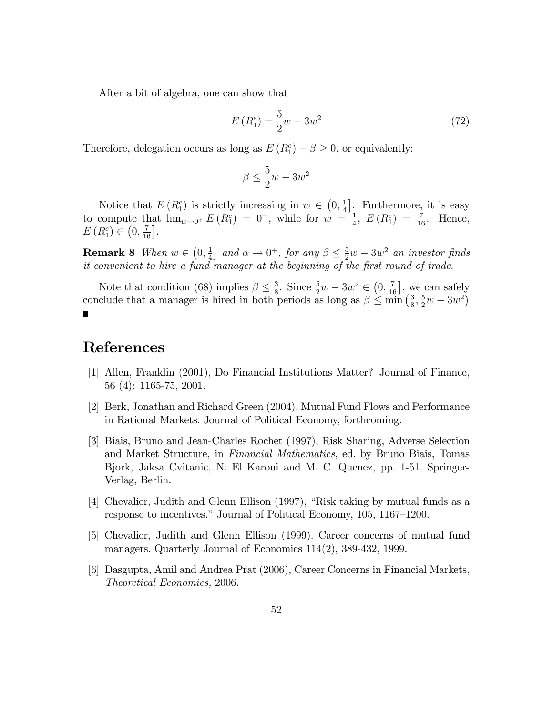After a bit of algebra, one can show that

$$
E(R_1^e) = \frac{5}{2}w - 3w^2
$$
\n(72)

Therefore, delegation occurs as long as  $E(R_1^e) - \beta \ge 0$ , or equivalently:

$$
\beta \le \frac{5}{2}w - 3w^2
$$

Notice that  $E(R_1^e)$  is strictly increasing in  $w \in (0, \frac{1}{4})$  $\frac{1}{4}$ . Furthermore, it is easy to compute that  $\lim_{w\to 0^+} E(R_1^e) = 0^+$ , while for  $w = \frac{1}{4}$  $\frac{1}{4}$ ,  $E(R_1^e) = \frac{7}{16}$ . Hence,  $E(R_1^e) \in (0, \frac{7}{16}].$ 

**Remark 8** When  $w \in \left(0, \frac{1}{4}\right)$  $\frac{1}{4}$  and  $\alpha \to 0^+$ , for any  $\beta \leq \frac{5}{2}w - 3w^2$  an investor finds it convenient to hire a fund manager at the beginning of the first round of trade.

 $\frac{3}{8}$ . Since  $\frac{5}{2}w - 3w^2 \in (0, \frac{7}{16}]$ , we can safely Note that condition (68) implies  $\beta \leq \frac{3}{8}$ conclude that a manager is hired in both periods as long as  $\beta \leq \min_{\delta} \left( \frac{3}{8} \right)$  $\frac{3}{8}, \frac{5}{2}w - 3w^2$  $\blacksquare$ 

# References

- [1] Allen, Franklin (2001), Do Financial Institutions Matter? Journal of Finance, 56 (4): 1165-75, 2001.
- [2] Berk, Jonathan and Richard Green (2004), Mutual Fund Flows and Performance in Rational Markets. Journal of Political Economy, forthcoming.
- [3] Biais, Bruno and Jean-Charles Rochet (1997), Risk Sharing, Adverse Selection and Market Structure, in Financial Mathematics, ed. by Bruno Biais, Tomas Bjork, Jaksa Cvitanic, N. El Karoui and M. C. Quenez, pp. 1-51. Springer-Verlag, Berlin.
- [4] Chevalier, Judith and Glenn Ellison (1997), "Risk taking by mutual funds as a response to incentives." Journal of Political Economy, 105, 1167–1200.
- [5] Chevalier, Judith and Glenn Ellison (1999). Career concerns of mutual fund managers. Quarterly Journal of Economics 114(2), 389-432, 1999.
- [6] Dasgupta, Amil and Andrea Prat (2006), Career Concerns in Financial Markets, Theoretical Economics, 2006.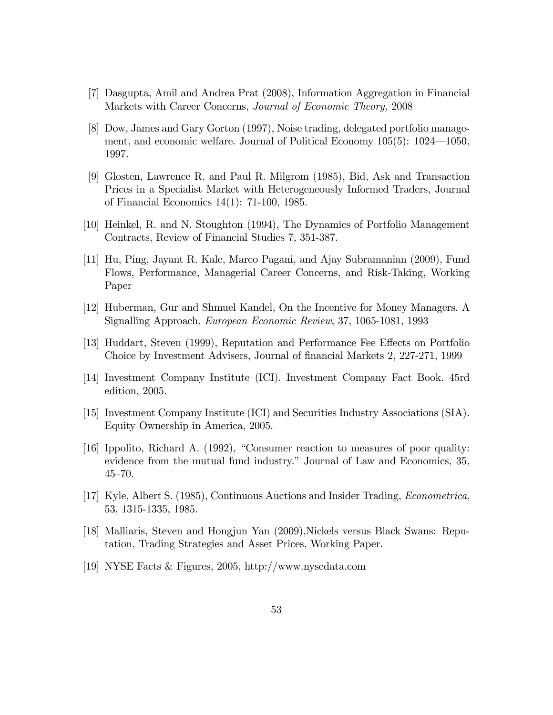- [7] Dasgupta, Amil and Andrea Prat (2008), Information Aggregation in Financial Markets with Career Concerns, Journal of Economic Theory, 2008
- [8] Dow, James and Gary Gorton (1997), Noise trading, delegated portfolio management, and economic welfare. Journal of Political Economy  $105(5)$ :  $1024-1050$ , 1997.
- [9] Glosten, Lawrence R. and Paul R. Milgrom (1985), Bid, Ask and Transaction Prices in a Specialist Market with Heterogeneously Informed Traders, Journal of Financial Economics 14(1): 71-100, 1985.
- [10] Heinkel, R. and N. Stoughton (1994), The Dynamics of Portfolio Management Contracts, Review of Financial Studies 7, 351-387.
- [11] Hu, Ping, Jayant R. Kale, Marco Pagani, and Ajay Subramanian (2009), Fund Flows, Performance, Managerial Career Concerns, and Risk-Taking, Working Paper
- [12] Huberman, Gur and Shmuel Kandel, On the Incentive for Money Managers. A Signalling Approach. European Economic Review, 37, 1065-1081, 1993
- [13] Huddart, Steven (1999), Reputation and Performance Fee Effects on Portfolio Choice by Investment Advisers, Journal of financial Markets 2, 227-271, 1999
- [14] Investment Company Institute (ICI). Investment Company Fact Book. 45rd edition, 2005.
- [15] Investment Company Institute (ICI) and Securities Industry Associations (SIA). Equity Ownership in America, 2005.
- [16] Ippolito, Richard A.  $(1992)$ , "Consumer reaction to measures of poor quality: evidence from the mutual fund industry." Journal of Law and Economics, 35,  $45 - 70.$
- [17] Kyle, Albert S. (1985), Continuous Auctions and Insider Trading, Econometrica, 53, 1315-1335, 1985.
- [18] Malliaris, Steven and Hongjun Yan (2009),Nickels versus Black Swans: Reputation, Trading Strategies and Asset Prices, Working Paper.
- [19] NYSE Facts & Figures, 2005, http://www.nysedata.com